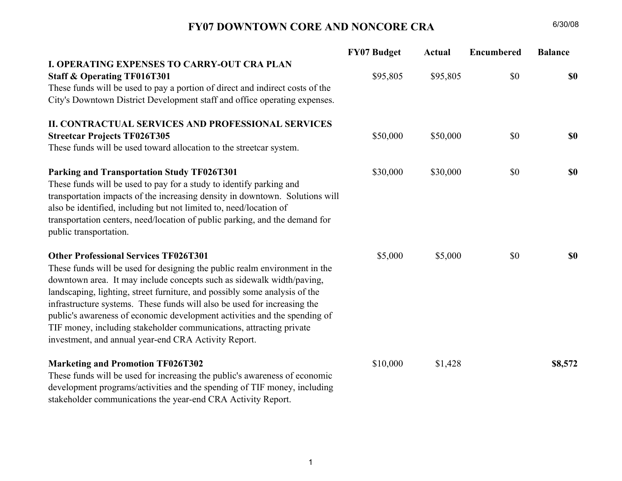

# CITY OF TAMPA

Pam Iorio, Mayor

July 23, 2008

Honorable Chairman and Members of the Community Redevelopment Agency

Ladies and Gentlemen:

The departments of Revenue & Finance and Economic & Urban Development are providing this report for the quarter ending June 30, 2008 to keep you informed of the overall financial condition of tax increment funds (TIFs) as well as the status of current capital projects and programs.

Included for each CRA are 1.) Financial Reports for FY 2006, FY 2007 and FY 2008 that track budgeted, expended and encumbered funds as well as the balance of budgeted funds that are unspent, and 2) A TIF Capital Project Tracking and Status Report, which shows the current status of each capital project in a CRA that received TIF funding in FY 2006-2008. For each capital project, known information about funding, contracting date and projected completion is reported. Explanatory project notes including future year funding commitments are also provided.

As always, we look forward to any suggestions or feedback on this report, so that we can make modifications in future quarterly reports.

We continue to be pleased with our redevelopment progress and with our mutual stewardship of tax increment funds. Your Board leadership in these matters is greatly appreciated.

\_\_\_\_\_\_\_\_\_\_\_\_\_\_\_\_\_\_\_\_\_\_\_\_\_ \_\_\_\_\_\_\_\_\_\_\_\_\_\_\_\_\_\_\_\_\_\_\_\_\_

Mark Huey Bonnie Wise Administrator of Economic and Urban Development

Director of Revenue and Finance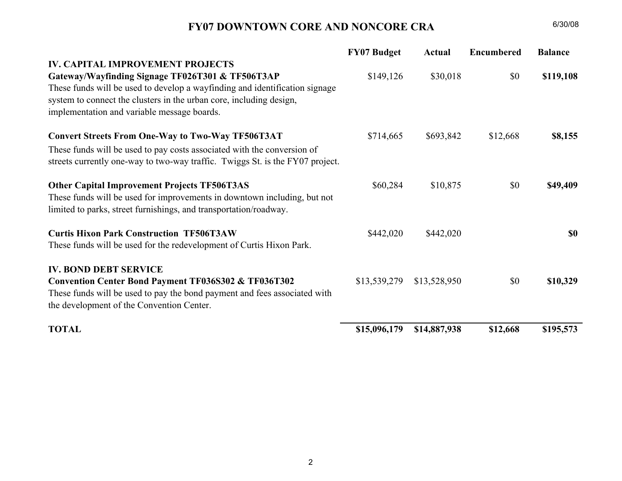## FY07 DOWNTOWN CORE AND NONCORE CRA

|                                                                               | <b>FY07 Budget</b> | <b>Actual</b> | <b>Encumbered</b> | <b>Balance</b> |
|-------------------------------------------------------------------------------|--------------------|---------------|-------------------|----------------|
| <b>I. OPERATING EXPENSES TO CARRY-OUT CRA PLAN</b>                            |                    |               |                   |                |
| <b>Staff &amp; Operating TF016T301</b>                                        | \$95,805           | \$95,805      | \$0               | <b>\$0</b>     |
| These funds will be used to pay a portion of direct and indirect costs of the |                    |               |                   |                |
| City's Downtown District Development staff and office operating expenses.     |                    |               |                   |                |
| II. CONTRACTUAL SERVICES AND PROFESSIONAL SERVICES                            |                    |               |                   |                |
| <b>Streetcar Projects TF026T305</b>                                           | \$50,000           | \$50,000      | \$0               | \$0            |
| These funds will be used toward allocation to the streetcar system.           |                    |               |                   |                |
| Parking and Transportation Study TF026T301                                    | \$30,000           | \$30,000      | \$0               | \$0            |
| These funds will be used to pay for a study to identify parking and           |                    |               |                   |                |
| transportation impacts of the increasing density in downtown. Solutions will  |                    |               |                   |                |
| also be identified, including but not limited to, need/location of            |                    |               |                   |                |
| transportation centers, need/location of public parking, and the demand for   |                    |               |                   |                |
| public transportation.                                                        |                    |               |                   |                |
| <b>Other Professional Services TF026T301</b>                                  | \$5,000            | \$5,000       | \$0               | \$0            |
| These funds will be used for designing the public realm environment in the    |                    |               |                   |                |
| downtown area. It may include concepts such as sidewalk width/paving,         |                    |               |                   |                |
| landscaping, lighting, street furniture, and possibly some analysis of the    |                    |               |                   |                |
| infrastructure systems. These funds will also be used for increasing the      |                    |               |                   |                |
| public's awareness of economic development activities and the spending of     |                    |               |                   |                |
| TIF money, including stakeholder communications, attracting private           |                    |               |                   |                |
| investment, and annual year-end CRA Activity Report.                          |                    |               |                   |                |
| <b>Marketing and Promotion TF026T302</b>                                      | \$10,000           | \$1,428       |                   | \$8,572        |
| These funds will be used for increasing the public's awareness of economic    |                    |               |                   |                |
| development programs/activities and the spending of TIF money, including      |                    |               |                   |                |
| stakeholder communications the year-end CRA Activity Report.                  |                    |               |                   |                |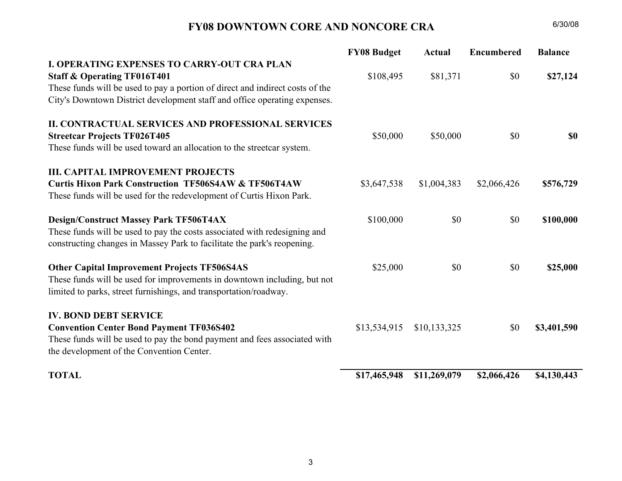#### FY07 DOWNTOWN CORE AND NONCORE CRA $A = 6/30/08$

|                                                                                                                                                                                                                                                       | <b>FY07 Budget</b> | <b>Actual</b> | <b>Encumbered</b> | <b>Balance</b> |
|-------------------------------------------------------------------------------------------------------------------------------------------------------------------------------------------------------------------------------------------------------|--------------------|---------------|-------------------|----------------|
| <b>IV. CAPITAL IMPROVEMENT PROJECTS</b>                                                                                                                                                                                                               |                    |               |                   |                |
| Gateway/Wayfinding Signage TF026T301 & TF506T3AP<br>These funds will be used to develop a wayfinding and identification signage<br>system to connect the clusters in the urban core, including design,<br>implementation and variable message boards. | \$149,126          | \$30,018      | \$0               | \$119,108      |
| <b>Convert Streets From One-Way to Two-Way TF506T3AT</b><br>These funds will be used to pay costs associated with the conversion of<br>streets currently one-way to two-way traffic. Twiggs St. is the FY07 project.                                  | \$714,665          | \$693,842     | \$12,668          | \$8,155        |
| <b>Other Capital Improvement Projects TF506T3AS</b><br>These funds will be used for improvements in downtown including, but not<br>limited to parks, street furnishings, and transportation/roadway.                                                  | \$60,284           | \$10,875      | \$0               | \$49,409       |
| <b>Curtis Hixon Park Construction TF506T3AW</b><br>These funds will be used for the redevelopment of Curtis Hixon Park.                                                                                                                               | \$442,020          | \$442,020     |                   | \$0            |
| <b>IV. BOND DEBT SERVICE</b><br><b>Convention Center Bond Payment TF036S302 &amp; TF036T302</b><br>These funds will be used to pay the bond payment and fees associated with<br>the development of the Convention Center.                             | \$13,539,279       | \$13,528,950  | \$0               | \$10,329       |
| <b>TOTAL</b>                                                                                                                                                                                                                                          | \$15,096,179       | \$14,887,938  | \$12,668          | \$195,573      |

2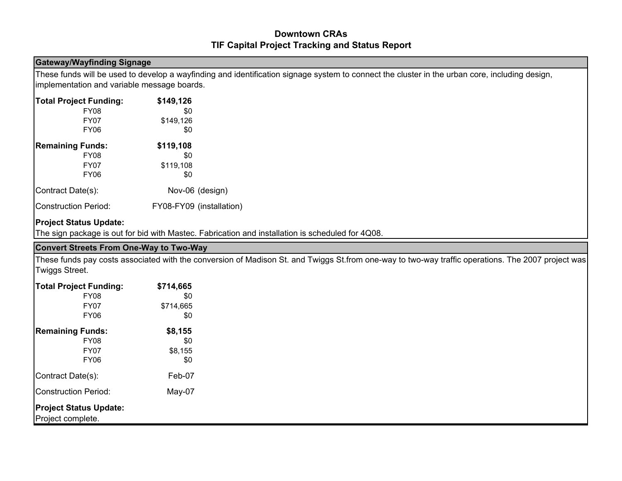#### FY08 DOWNTOWN CORE AND NONCORE CRA $A = 6/30/08$

|                                                                                                                                                      | <b>FY08 Budget</b> | <b>Actual</b> | <b>Encumbered</b> | <b>Balance</b> |
|------------------------------------------------------------------------------------------------------------------------------------------------------|--------------------|---------------|-------------------|----------------|
| <b>I. OPERATING EXPENSES TO CARRY-OUT CRA PLAN</b>                                                                                                   |                    |               |                   |                |
| <b>Staff &amp; Operating TF016T401</b>                                                                                                               | \$108,495          | \$81,371      | \$0               | \$27,124       |
| These funds will be used to pay a portion of direct and indirect costs of the                                                                        |                    |               |                   |                |
| City's Downtown District development staff and office operating expenses.                                                                            |                    |               |                   |                |
| <b>II. CONTRACTUAL SERVICES AND PROFESSIONAL SERVICES</b>                                                                                            |                    |               |                   |                |
| <b>Streetcar Projects TF026T405</b>                                                                                                                  | \$50,000           | \$50,000      | \$0               | <b>SO</b>      |
| These funds will be used toward an allocation to the streetcar system.                                                                               |                    |               |                   |                |
| <b>III. CAPITAL IMPROVEMENT PROJECTS</b>                                                                                                             |                    |               |                   |                |
| <b>Curtis Hixon Park Construction TF506S4AW &amp; TF506T4AW</b>                                                                                      | \$3,647,538        | \$1,004,383   | \$2,066,426       | \$576,729      |
| These funds will be used for the redevelopment of Curtis Hixon Park.                                                                                 |                    |               |                   |                |
| <b>Design/Construct Massey Park TF506T4AX</b>                                                                                                        | \$100,000          | \$0           | \$0               | \$100,000      |
| These funds will be used to pay the costs associated with redesigning and<br>constructing changes in Massey Park to facilitate the park's reopening. |                    |               |                   |                |
| <b>Other Capital Improvement Projects TF506S4AS</b>                                                                                                  | \$25,000           | \$0           | \$0               | \$25,000       |
| These funds will be used for improvements in downtown including, but not                                                                             |                    |               |                   |                |
| limited to parks, street furnishings, and transportation/roadway.                                                                                    |                    |               |                   |                |
| <b>IV. BOND DEBT SERVICE</b>                                                                                                                         |                    |               |                   |                |
| <b>Convention Center Bond Payment TF036S402</b>                                                                                                      | \$13,534,915       | \$10,133,325  | \$0               | \$3,401,590    |
| These funds will be used to pay the bond payment and fees associated with                                                                            |                    |               |                   |                |
| the development of the Convention Center.                                                                                                            |                    |               |                   |                |
| <b>TOTAL</b>                                                                                                                                         | \$17,465,948       | \$11,269,079  | \$2,066,426       | \$4,130,443    |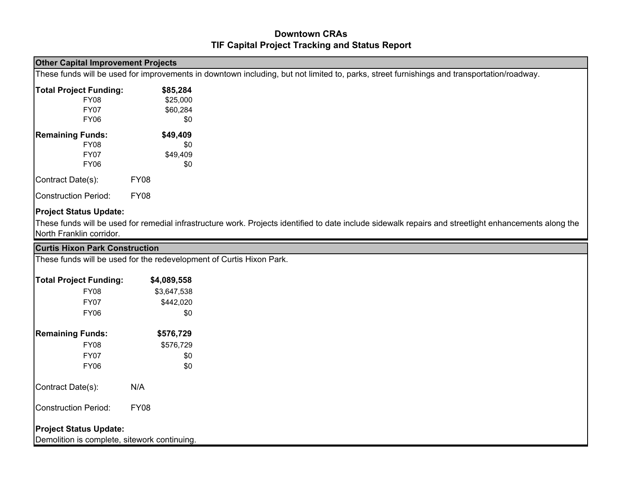#### Downtown CRAsTIF Capital Project Tracking and Status Report

#### Gateway/Wayfinding Signage

These funds will be used to develop a wayfinding and identification signage system to connect the cluster in the urban core, including design, implementation and variable message boards.

| <b>Total Project Funding:</b> | \$149,126                |
|-------------------------------|--------------------------|
| <b>FY08</b>                   | \$0                      |
| FY07                          | \$149,126                |
| <b>FY06</b>                   | \$0                      |
| <b>Remaining Funds:</b>       | \$119,108                |
| <b>FY08</b>                   | \$0                      |
| <b>FY07</b>                   | \$119,108                |
| <b>FY06</b>                   | \$0                      |
| Contract Date(s):             | Nov-06 (design)          |
| <b>Construction Period:</b>   | FY08-FY09 (installation) |

### Project Status Update:

The sign package is out for bid with Mastec. Fabrication and installation is scheduled for 4Q08.

#### Convert Streets From One-Way to Two-Way

These funds pay costs associated with the conversion of Madison St. and Twiggs St.from one-way to two-way traffic operations. The 2007 project was Twiggs Street.

| <b>Total Project Funding:</b>                      | \$714,665 |
|----------------------------------------------------|-----------|
| <b>FY08</b>                                        | \$0       |
| FY07                                               | \$714,665 |
| <b>FY06</b>                                        | \$0       |
| <b>Remaining Funds:</b>                            | \$8,155   |
| <b>FY08</b>                                        | \$0       |
| FY07                                               | \$8,155   |
| <b>FY06</b>                                        | \$0       |
| Contract Date(s):                                  | Feb-07    |
| <b>Construction Period:</b>                        | May-07    |
| <b>Project Status Update:</b><br>Project complete. |           |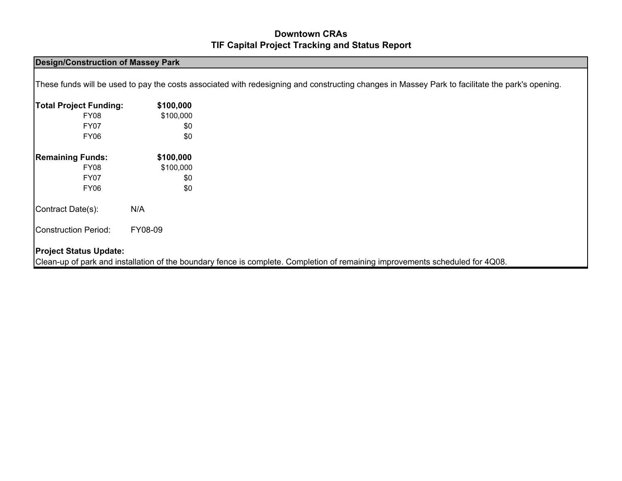## Downtown CRAsTIF Capital Project Tracking and Status Report

| <b>Other Capital Improvement Projects</b> |                                                                      |                                                                                                                                                        |
|-------------------------------------------|----------------------------------------------------------------------|--------------------------------------------------------------------------------------------------------------------------------------------------------|
|                                           |                                                                      | These funds will be used for improvements in downtown including, but not limited to, parks, street furnishings and transportation/roadway.             |
| <b>Total Project Funding:</b>             | \$85,284                                                             |                                                                                                                                                        |
| FY08                                      | \$25,000                                                             |                                                                                                                                                        |
| <b>FY07</b>                               | \$60,284                                                             |                                                                                                                                                        |
| <b>FY06</b>                               | \$0                                                                  |                                                                                                                                                        |
| <b>Remaining Funds:</b>                   | \$49,409                                                             |                                                                                                                                                        |
| <b>FY08</b>                               | \$0                                                                  |                                                                                                                                                        |
| <b>FY07</b>                               | \$49,409                                                             |                                                                                                                                                        |
| FY <sub>06</sub>                          | \$0                                                                  |                                                                                                                                                        |
| Contract Date(s):                         | <b>FY08</b>                                                          |                                                                                                                                                        |
| <b>Construction Period:</b>               | <b>FY08</b>                                                          |                                                                                                                                                        |
| <b>Project Status Update:</b>             |                                                                      |                                                                                                                                                        |
|                                           |                                                                      | These funds will be used for remedial infrastructure work. Projects identified to date include sidewalk repairs and streetlight enhancements along the |
| North Franklin corridor.                  |                                                                      |                                                                                                                                                        |
| <b>Curtis Hixon Park Construction</b>     |                                                                      |                                                                                                                                                        |
|                                           | These funds will be used for the redevelopment of Curtis Hixon Park. |                                                                                                                                                        |
| <b>Total Project Funding:</b>             | \$4,089,558                                                          |                                                                                                                                                        |
| <b>FY08</b>                               | \$3,647,538                                                          |                                                                                                                                                        |
| <b>FY07</b>                               | \$442,020                                                            |                                                                                                                                                        |

| <b>FY06</b>                             |             | \$0                           |
|-----------------------------------------|-------------|-------------------------------|
| <b>Remaining Funds:</b><br>FY08<br>FY07 |             | \$576,729<br>\$576,729<br>\$0 |
| FY <sub>06</sub>                        |             | \$0                           |
| Contract Date(s):                       | N/A         |                               |
| Construction Period:                    | <b>FY08</b> |                               |
| <b>Project Status Update:</b>           |             |                               |

Demolition is complete, sitework continuing.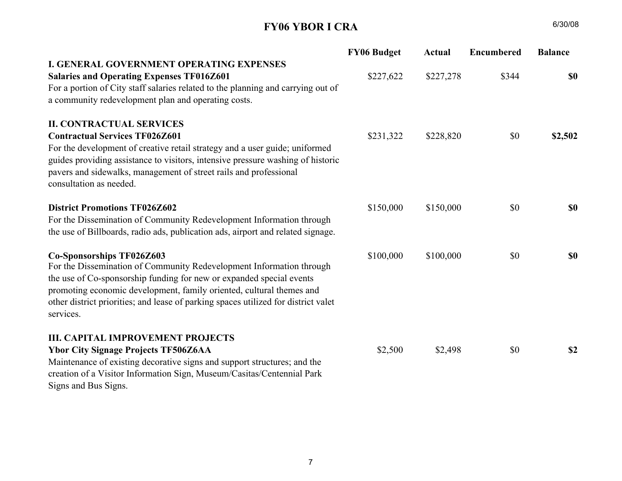### Downtown CRAsTIF Capital Project Tracking and Status Report

#### Design/Construction of Massey Park

These funds will be used to pay the costs associated with redesigning and constructing changes in Massey Park to facilitate the park's opening.

| <b>Total Project Funding:</b> | \$100,000 |
|-------------------------------|-----------|
| <b>FY08</b>                   | \$100,000 |
| FY07                          | \$0       |
| FY <sub>06</sub>              | \$0       |
|                               |           |
| <b>Remaining Funds:</b>       | \$100,000 |
| FY08                          | \$100,000 |
| FY07                          | \$0       |
| FY <sub>06</sub>              | \$0       |
| Contract Date(s):             | N/A       |
| <b>Construction Period:</b>   | FY08-09   |

#### Project Status Update:

Clean-up of park and installation of the boundary fence is complete. Completion of remaining improvements scheduled for 4Q08.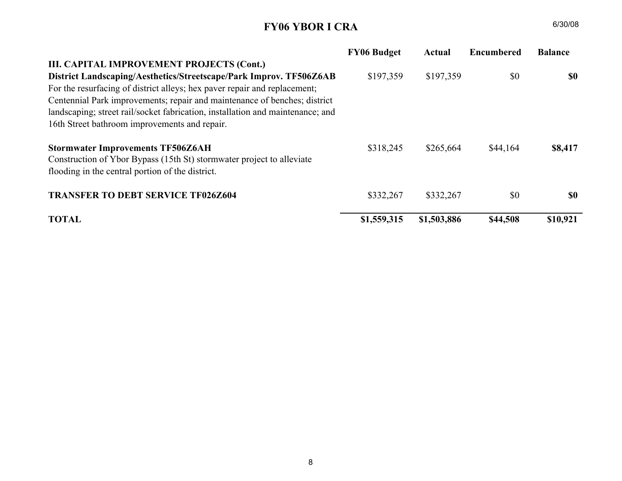## FY06 YBOR I CRA

 $A = 6/30/08$ 

|                                                                                                                                                                                                                                                                | <b>FY06 Budget</b> | <b>Actual</b> | <b>Encumbered</b> | <b>Balance</b> |
|----------------------------------------------------------------------------------------------------------------------------------------------------------------------------------------------------------------------------------------------------------------|--------------------|---------------|-------------------|----------------|
| <b>I. GENERAL GOVERNMENT OPERATING EXPENSES</b>                                                                                                                                                                                                                |                    |               |                   |                |
| <b>Salaries and Operating Expenses TF016Z601</b>                                                                                                                                                                                                               | \$227,622          | \$227,278     | \$344             | <b>\$0</b>     |
| For a portion of City staff salaries related to the planning and carrying out of                                                                                                                                                                               |                    |               |                   |                |
| a community redevelopment plan and operating costs.                                                                                                                                                                                                            |                    |               |                   |                |
| <b>II. CONTRACTUAL SERVICES</b>                                                                                                                                                                                                                                |                    |               |                   |                |
| <b>Contractual Services TF026Z601</b>                                                                                                                                                                                                                          | \$231,322          | \$228,820     | \$0               | \$2,502        |
| For the development of creative retail strategy and a user guide; uniformed<br>guides providing assistance to visitors, intensive pressure washing of historic<br>pavers and sidewalks, management of street rails and professional<br>consultation as needed. |                    |               |                   |                |
| <b>District Promotions TF026Z602</b>                                                                                                                                                                                                                           | \$150,000          | \$150,000     | \$0               | <b>SO</b>      |
| For the Dissemination of Community Redevelopment Information through                                                                                                                                                                                           |                    |               |                   |                |
| the use of Billboards, radio ads, publication ads, airport and related signage.                                                                                                                                                                                |                    |               |                   |                |
| Co-Sponsorships TF026Z603                                                                                                                                                                                                                                      | \$100,000          | \$100,000     | \$0               | <b>SO</b>      |
| For the Dissemination of Community Redevelopment Information through                                                                                                                                                                                           |                    |               |                   |                |
| the use of Co-sponsorship funding for new or expanded special events                                                                                                                                                                                           |                    |               |                   |                |
| promoting economic development, family oriented, cultural themes and                                                                                                                                                                                           |                    |               |                   |                |
| other district priorities; and lease of parking spaces utilized for district valet<br>services.                                                                                                                                                                |                    |               |                   |                |
| <b>III. CAPITAL IMPROVEMENT PROJECTS</b>                                                                                                                                                                                                                       |                    |               |                   |                |
| <b>Ybor City Signage Projects TF506Z6AA</b>                                                                                                                                                                                                                    | \$2,500            | \$2,498       | \$0               | \$2            |
| Maintenance of existing decorative signs and support structures; and the                                                                                                                                                                                       |                    |               |                   |                |
| creation of a Visitor Information Sign, Museum/Casitas/Centennial Park                                                                                                                                                                                         |                    |               |                   |                |
| Signs and Bus Signs.                                                                                                                                                                                                                                           |                    |               |                   |                |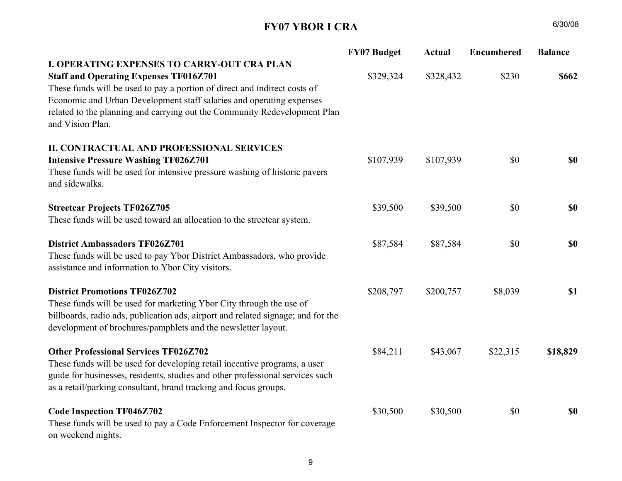## FY06 YBOR I CRA

|                                                                                | <b>FY06 Budget</b> | Actual      | <b>Encumbered</b> | <b>Balance</b> |
|--------------------------------------------------------------------------------|--------------------|-------------|-------------------|----------------|
| III. CAPITAL IMPROVEMENT PROJECTS (Cont.)                                      |                    |             |                   |                |
| District Landscaping/Aesthetics/Streetscape/Park Improv. TF506Z6AB             | \$197,359          | \$197,359   | \$0               | <b>SO</b>      |
| For the resurfacing of district alleys; hex payer repair and replacement;      |                    |             |                   |                |
| Centennial Park improvements; repair and maintenance of benches; district      |                    |             |                   |                |
| landscaping; street rail/socket fabrication, installation and maintenance; and |                    |             |                   |                |
| 16th Street bathroom improvements and repair.                                  |                    |             |                   |                |
| <b>Stormwater Improvements TF506Z6AH</b>                                       | \$318,245          | \$265,664   | \$44,164          | \$8,417        |
| Construction of Ybor Bypass (15th St) stormwater project to alleviate          |                    |             |                   |                |
| flooding in the central portion of the district.                               |                    |             |                   |                |
| <b>TRANSFER TO DEBT SERVICE TF026Z604</b>                                      | \$332,267          | \$332,267   | \$0               | \$0            |
|                                                                                |                    |             |                   |                |
| <b>TOTAL</b>                                                                   | \$1,559,315        | \$1,503,886 | \$44,508          | \$10,921       |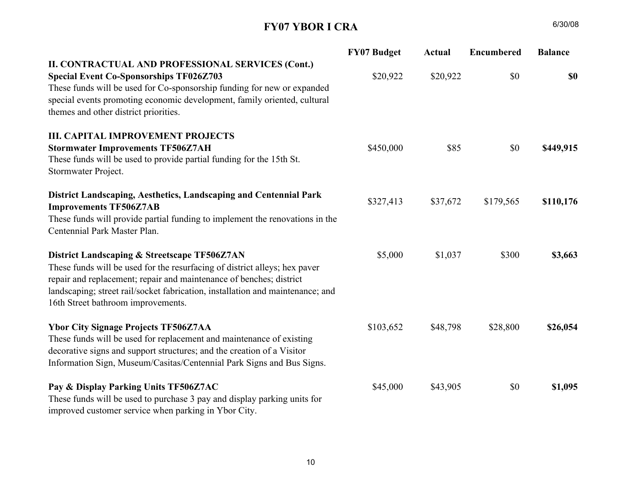## FY07 YBOR I CRA

|                                                                                                                                                                                                                                                                                                     | <b>FY07 Budget</b> | <b>Actual</b> | <b>Encumbered</b> | <b>Balance</b> |
|-----------------------------------------------------------------------------------------------------------------------------------------------------------------------------------------------------------------------------------------------------------------------------------------------------|--------------------|---------------|-------------------|----------------|
| <b>I. OPERATING EXPENSES TO CARRY-OUT CRA PLAN</b>                                                                                                                                                                                                                                                  |                    |               |                   |                |
| <b>Staff and Operating Expenses TF016Z701</b><br>These funds will be used to pay a portion of direct and indirect costs of<br>Economic and Urban Development staff salaries and operating expenses<br>related to the planning and carrying out the Community Redevelopment Plan<br>and Vision Plan. | \$329,324          | \$328,432     | \$230             | \$662          |
| <b>II. CONTRACTUAL AND PROFESSIONAL SERVICES</b>                                                                                                                                                                                                                                                    |                    |               |                   |                |
| <b>Intensive Pressure Washing TF026Z701</b><br>These funds will be used for intensive pressure washing of historic pavers<br>and sidewalks.                                                                                                                                                         | \$107,939          | \$107,939     | \$0               | <b>\$0</b>     |
| <b>Streetcar Projects TF026Z705</b>                                                                                                                                                                                                                                                                 | \$39,500           | \$39,500      | \$0               | <b>\$0</b>     |
| These funds will be used toward an allocation to the streetcar system.                                                                                                                                                                                                                              |                    |               |                   |                |
| <b>District Ambassadors TF026Z701</b>                                                                                                                                                                                                                                                               | \$87,584           | \$87,584      | \$0               | <b>\$0</b>     |
| These funds will be used to pay Ybor District Ambassadors, who provide<br>assistance and information to Ybor City visitors.                                                                                                                                                                         |                    |               |                   |                |
| <b>District Promotions TF026Z702</b><br>These funds will be used for marketing Ybor City through the use of<br>billboards, radio ads, publication ads, airport and related signage; and for the<br>development of brochures/pamphlets and the newsletter layout.                                    | \$208,797          | \$200,757     | \$8,039           | <b>\$1</b>     |
| <b>Other Professional Services TF026Z702</b><br>These funds will be used for developing retail incentive programs, a user<br>guide for businesses, residents, studies and other professional services such<br>as a retail/parking consultant, brand tracking and focus groups.                      | \$84,211           | \$43,067      | \$22,315          | \$18,829       |
| <b>Code Inspection TF046Z702</b><br>These funds will be used to pay a Code Enforcement Inspector for coverage<br>on weekend nights.                                                                                                                                                                 | \$30,500           | \$30,500      | \$0               | <b>\$0</b>     |

 $A = 6/30/08$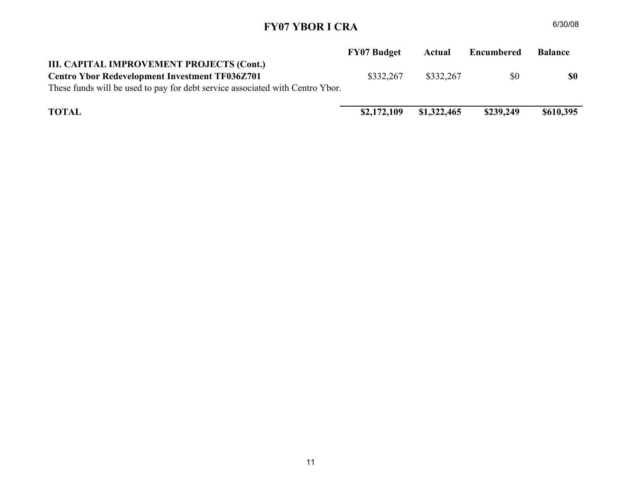## FY07 YBOR I CRA

|                                                                                                                                                                                                                                                                                                                           | <b>FY07 Budget</b> | <b>Actual</b> | <b>Encumbered</b> | <b>Balance</b> |
|---------------------------------------------------------------------------------------------------------------------------------------------------------------------------------------------------------------------------------------------------------------------------------------------------------------------------|--------------------|---------------|-------------------|----------------|
| II. CONTRACTUAL AND PROFESSIONAL SERVICES (Cont.)<br><b>Special Event Co-Sponsorships TF026Z703</b><br>These funds will be used for Co-sponsorship funding for new or expanded<br>special events promoting economic development, family oriented, cultural<br>themes and other district priorities.                       | \$20,922           | \$20,922      | \$0               | \$0            |
| <b>III. CAPITAL IMPROVEMENT PROJECTS</b><br><b>Stormwater Improvements TF506Z7AH</b><br>These funds will be used to provide partial funding for the 15th St.<br>Stormwater Project.                                                                                                                                       | \$450,000          | \$85          | \$0               | \$449,915      |
| District Landscaping, Aesthetics, Landscaping and Centennial Park<br><b>Improvements TF506Z7AB</b><br>These funds will provide partial funding to implement the renovations in the<br>Centennial Park Master Plan.                                                                                                        | \$327,413          | \$37,672      | \$179,565         | \$110,176      |
| District Landscaping & Streetscape TF506Z7AN<br>These funds will be used for the resurfacing of district alleys; hex paver<br>repair and replacement; repair and maintenance of benches; district<br>landscaping; street rail/socket fabrication, installation and maintenance; and<br>16th Street bathroom improvements. | \$5,000            | \$1,037       | \$300             | \$3,663        |
| <b>Ybor City Signage Projects TF506Z7AA</b><br>These funds will be used for replacement and maintenance of existing<br>decorative signs and support structures; and the creation of a Visitor<br>Information Sign, Museum/Casitas/Centennial Park Signs and Bus Signs.                                                    | \$103,652          | \$48,798      | \$28,800          | \$26,054       |
| Pay & Display Parking Units TF506Z7AC<br>These funds will be used to purchase 3 pay and display parking units for<br>improved customer service when parking in Ybor City.                                                                                                                                                 | \$45,000           | \$43,905      | \$0               | \$1,095        |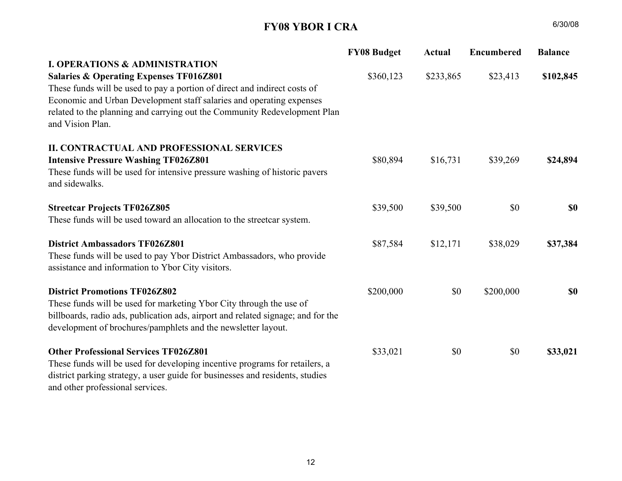## FY07 YBOR I CRA

|                                                                               | <b>FY07 Budget</b> | Actual      | <b>Encumbered</b> | <b>Balance</b> |
|-------------------------------------------------------------------------------|--------------------|-------------|-------------------|----------------|
| III. CAPITAL IMPROVEMENT PROJECTS (Cont.)                                     |                    |             |                   |                |
| <b>Centro Ybor Redevelopment Investment TF036Z701</b>                         | \$332,267          | \$332,267   | \$0               | \$0            |
| These funds will be used to pay for debt service associated with Centro Ybor. |                    |             |                   |                |
|                                                                               |                    |             |                   |                |
| <b>TOTAL</b>                                                                  | \$2,172,109        | \$1,322,465 | \$239,249         | \$610,395      |
|                                                                               |                    |             |                   |                |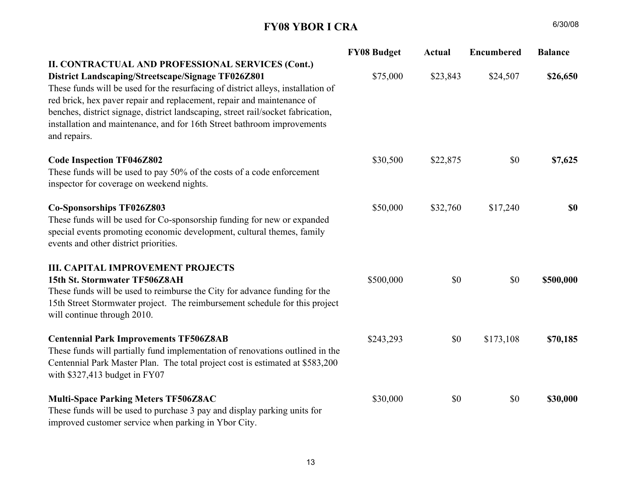## FY08 YBOR I CRA

| $\bf A$ | 6/30/08 |
|---------|---------|
|         |         |

|                                                                                                                             | <b>FY08 Budget</b> | <b>Actual</b> | <b>Encumbered</b> | <b>Balance</b> |
|-----------------------------------------------------------------------------------------------------------------------------|--------------------|---------------|-------------------|----------------|
| <b>I. OPERATIONS &amp; ADMINISTRATION</b>                                                                                   |                    |               |                   |                |
| <b>Salaries &amp; Operating Expenses TF016Z801</b>                                                                          | \$360,123          | \$233,865     | \$23,413          | \$102,845      |
| These funds will be used to pay a portion of direct and indirect costs of                                                   |                    |               |                   |                |
| Economic and Urban Development staff salaries and operating expenses                                                        |                    |               |                   |                |
| related to the planning and carrying out the Community Redevelopment Plan<br>and Vision Plan.                               |                    |               |                   |                |
| <b>II. CONTRACTUAL AND PROFESSIONAL SERVICES</b>                                                                            |                    |               |                   |                |
| <b>Intensive Pressure Washing TF026Z801</b>                                                                                 | \$80,894           | \$16,731      | \$39,269          | \$24,894       |
| These funds will be used for intensive pressure washing of historic pavers<br>and sidewalks.                                |                    |               |                   |                |
| <b>Streetcar Projects TF026Z805</b>                                                                                         | \$39,500           | \$39,500      | \$0               | <b>\$0</b>     |
| These funds will be used toward an allocation to the streetcar system.                                                      |                    |               |                   |                |
| <b>District Ambassadors TF026Z801</b>                                                                                       | \$87,584           | \$12,171      | \$38,029          | \$37,384       |
| These funds will be used to pay Ybor District Ambassadors, who provide<br>assistance and information to Ybor City visitors. |                    |               |                   |                |
| <b>District Promotions TF026Z802</b>                                                                                        | \$200,000          | \$0           | \$200,000         | <b>SO</b>      |
| These funds will be used for marketing Ybor City through the use of                                                         |                    |               |                   |                |
| billboards, radio ads, publication ads, airport and related signage; and for the                                            |                    |               |                   |                |
| development of brochures/pamphlets and the newsletter layout.                                                               |                    |               |                   |                |
| <b>Other Professional Services TF026Z801</b>                                                                                | \$33,021           | \$0           | \$0               | \$33,021       |
| These funds will be used for developing incentive programs for retailers, a                                                 |                    |               |                   |                |
| district parking strategy, a user guide for businesses and residents, studies<br>and other professional services.           |                    |               |                   |                |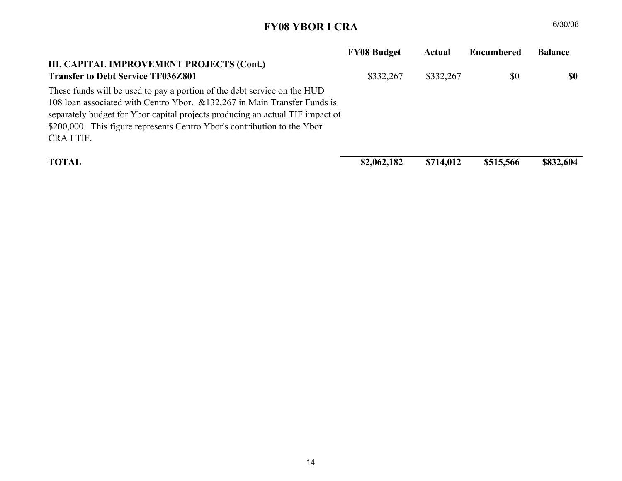## FY08 YBOR I CRA

| $\bf A$ | 6/30/08 |
|---------|---------|
|         |         |

|                                                                                                                                                                                                                                                                                                                                                                                                                                                      | <b>FY08 Budget</b> | <b>Actual</b> | <b>Encumbered</b> | <b>Balance</b> |
|------------------------------------------------------------------------------------------------------------------------------------------------------------------------------------------------------------------------------------------------------------------------------------------------------------------------------------------------------------------------------------------------------------------------------------------------------|--------------------|---------------|-------------------|----------------|
| II. CONTRACTUAL AND PROFESSIONAL SERVICES (Cont.)<br>District Landscaping/Streetscape/Signage TF026Z801<br>These funds will be used for the resurfacing of district alleys, installation of<br>red brick, hex paver repair and replacement, repair and maintenance of<br>benches, district signage, district landscaping, street rail/socket fabrication,<br>installation and maintenance, and for 16th Street bathroom improvements<br>and repairs. | \$75,000           | \$23,843      | \$24,507          | \$26,650       |
| <b>Code Inspection TF046Z802</b><br>These funds will be used to pay 50% of the costs of a code enforcement<br>inspector for coverage on weekend nights.                                                                                                                                                                                                                                                                                              | \$30,500           | \$22,875      | \$0               | \$7,625        |
| Co-Sponsorships TF026Z803<br>These funds will be used for Co-sponsorship funding for new or expanded<br>special events promoting economic development, cultural themes, family<br>events and other district priorities.                                                                                                                                                                                                                              | \$50,000           | \$32,760      | \$17,240          | \$0            |
| <b>III. CAPITAL IMPROVEMENT PROJECTS</b><br>15th St. Stormwater TF506Z8AH<br>These funds will be used to reimburse the City for advance funding for the<br>15th Street Stormwater project. The reimbursement schedule for this project<br>will continue through 2010.                                                                                                                                                                                | \$500,000          | \$0           | \$0               | \$500,000      |
| <b>Centennial Park Improvements TF506Z8AB</b><br>These funds will partially fund implementation of renovations outlined in the<br>Centennial Park Master Plan. The total project cost is estimated at \$583,200<br>with \$327,413 budget in FY07                                                                                                                                                                                                     | \$243,293          | \$0           | \$173,108         | \$70,185       |
| <b>Multi-Space Parking Meters TF506Z8AC</b><br>These funds will be used to purchase 3 pay and display parking units for<br>improved customer service when parking in Ybor City.                                                                                                                                                                                                                                                                      | \$30,000           | \$0           | \$0               | \$30,000       |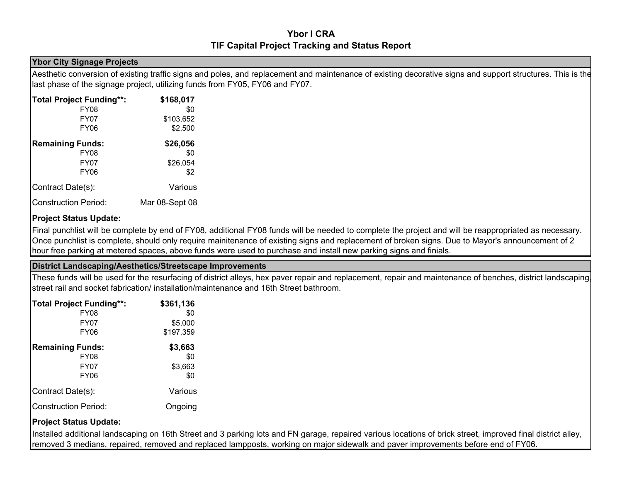## FY08 YBOR I CRA

|                                                                               | <b>FY08 Budget</b> | Actual    | <b>Encumbered</b> | <b>Balance</b> |
|-------------------------------------------------------------------------------|--------------------|-----------|-------------------|----------------|
| III. CAPITAL IMPROVEMENT PROJECTS (Cont.)                                     |                    |           |                   |                |
| <b>Transfer to Debt Service TF036Z801</b>                                     | \$332,267          | \$332,267 | \$0               | \$0            |
| These funds will be used to pay a portion of the debt service on the HUD      |                    |           |                   |                |
| 108 Ioan associated with Centro Ybor. & 132,267 in Main Transfer Funds is     |                    |           |                   |                |
| separately budget for Ybor capital projects producing an actual TIF impact of |                    |           |                   |                |
| \$200,000. This figure represents Centro Ybor's contribution to the Ybor      |                    |           |                   |                |
| CRA I TIF.                                                                    |                    |           |                   |                |
|                                                                               |                    |           |                   |                |
| <b>TOTAL</b>                                                                  | \$2,062,182        | \$714,012 | \$515,566         | \$832,604      |

 $\text{I}$  \$2,062,182 \$714,012 \$515,566 \$832,604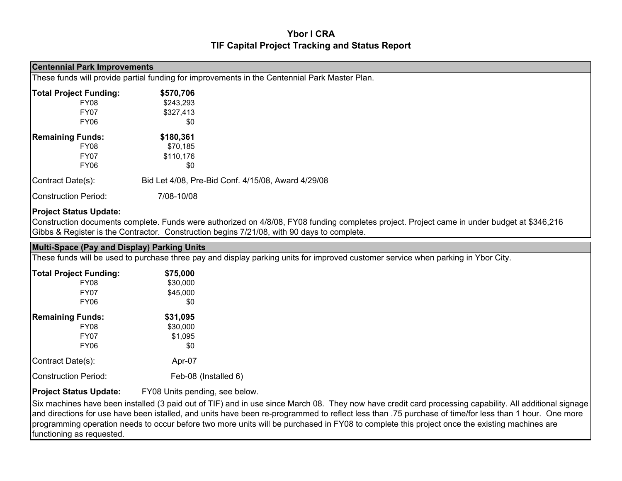#### Ybor I CRATIF Capital Project Tracking and Status Report

#### Ybor City Signage Projects

Aesthetic conversion of existing traffic signs and poles, and replacement and maintenance of existing decorative signs and support structures. This is the last phase of the signage project, utilizing funds from FY05, FY06 and FY07.

| <b>Total Project Funding**:</b> | \$168,017      |
|---------------------------------|----------------|
| <b>FY08</b>                     | \$0            |
| FY07                            | \$103,652      |
| FY06                            | \$2,500        |
| <b>Remaining Funds:</b>         | \$26,056       |
| <b>FY08</b>                     | \$0            |
| <b>FY07</b>                     | \$26,054       |
| <b>FY06</b>                     | \$2            |
| Contract Date(s):               | Various        |
| <b>Construction Period:</b>     | Mar 08-Sept 08 |

#### Project Status Update:

Final punchlist will be complete by end of FY08, additional FY08 funds will be needed to complete the project and will be reappropriated as necessary. Once punchlist is complete, should only require mainitenance of existing signs and replacement of broken signs. Due to Mayor's announcement of 2 hour free parking at metered spaces, above funds were used to purchase and install new parking signs and finials.

#### District Landscaping/Aesthetics/Streetscape Improvements

 These funds will be used for the resurfacing of district alleys, hex paver repair and replacement, repair and maintenance of benches, district landscaping, street rail and socket fabrication/ installation/maintenance and 16th Street bathroom.

| <b>Total Project Funding**:</b> | \$361,136 |
|---------------------------------|-----------|
| <b>FY08</b>                     | \$0       |
| <b>FY07</b>                     | \$5,000   |
| <b>FY06</b>                     | \$197,359 |
| <b>Remaining Funds:</b>         | \$3,663   |
| <b>FY08</b>                     | \$0       |
| <b>FY07</b>                     | \$3,663   |
| FY <sub>06</sub>                | \$0       |
| Contract Date(s):               | Various   |
| <b>Construction Period:</b>     | Ongoing   |

#### Project Status Update:

Installed additional landscaping on 16th Street and 3 parking lots and FN garage, repaired various locations of brick street, improved final district alley, removed 3 medians, repaired, removed and replaced lampposts, working on major sidewalk and paver improvements before end of FY06.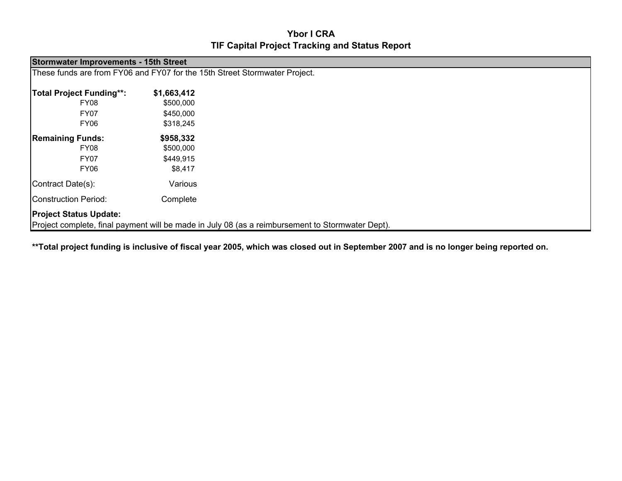### Ybor I CRATIF Capital Project Tracking and Status Report

|                                            | <b>Centennial Park Improvements</b>                                                           |                                                    |  |  |  |  |  |
|--------------------------------------------|-----------------------------------------------------------------------------------------------|----------------------------------------------------|--|--|--|--|--|
|                                            | These funds will provide partial funding for improvements in the Centennial Park Master Plan. |                                                    |  |  |  |  |  |
| <b>Total Project Funding:</b><br>\$570,706 |                                                                                               |                                                    |  |  |  |  |  |
| FY08                                       | \$243,293                                                                                     |                                                    |  |  |  |  |  |
| <b>FY07</b>                                | \$327,413                                                                                     |                                                    |  |  |  |  |  |
| FY06                                       | \$0                                                                                           |                                                    |  |  |  |  |  |
| <b>Remaining Funds:</b>                    | \$180,361                                                                                     |                                                    |  |  |  |  |  |
| FY08                                       | \$70,185                                                                                      |                                                    |  |  |  |  |  |
| <b>FY07</b>                                | \$110,176                                                                                     |                                                    |  |  |  |  |  |
| <b>FY06</b>                                | \$0                                                                                           |                                                    |  |  |  |  |  |
| Contract Date(s):                          |                                                                                               | Bid Let 4/08, Pre-Bid Conf. 4/15/08, Award 4/29/08 |  |  |  |  |  |
| Construction Period:                       | 7/08-10/08                                                                                    |                                                    |  |  |  |  |  |
| <b>Project Status Update:</b>              |                                                                                               |                                                    |  |  |  |  |  |

 Construction documents complete. Funds were authorized on 4/8/08, FY08 funding completes project. Project came in under budget at \$346,216 Gibbs & Register is the Contractor. Construction begins 7/21/08, with 90 days to complete.

Multi-Space (Pay and Display) Parking UnitsThese funds will be used to purchase three pay and display parking units for improved customer service when parking in Ybor City.

| <b>Total Project Funding:</b> | \$75,000             |
|-------------------------------|----------------------|
| <b>FY08</b>                   | \$30,000             |
| <b>FY07</b>                   | \$45,000             |
| <b>FY06</b>                   | \$0                  |
| <b>Remaining Funds:</b>       | \$31,095             |
| <b>FY08</b>                   | \$30,000             |
| <b>FY07</b>                   | \$1,095              |
| <b>FY06</b>                   | \$0                  |
| Contract Date(s):             | Apr-07               |
| <b>Construction Period:</b>   | Feb-08 (Installed 6) |
|                               |                      |

#### Project Status Update:FY08 Units pending, see below.

Six machines have been installed (3 paid out of TIF) and in use since March 08. They now have credit card processing capability. All additional signage and directions for use have been istalled, and units have been re-programmed to reflect less than .75 purchase of time/for less than 1 hour. One more programming operation needs to occur before two more units will be purchased in FY08 to complete this project once the existing machines are functioning as requested.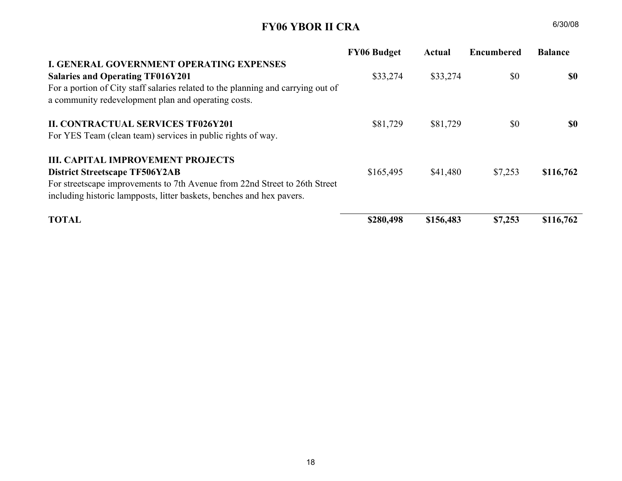## Ybor I CRATIF Capital Project Tracking and Status Report

|                                                                                                                                   | <b>Stormwater Improvements - 15th Street</b>                               |  |  |  |  |  |
|-----------------------------------------------------------------------------------------------------------------------------------|----------------------------------------------------------------------------|--|--|--|--|--|
|                                                                                                                                   | These funds are from FY06 and FY07 for the 15th Street Stormwater Project. |  |  |  |  |  |
| <b>Total Project Funding**:</b>                                                                                                   | \$1,663,412                                                                |  |  |  |  |  |
| FY08                                                                                                                              | \$500,000                                                                  |  |  |  |  |  |
| FY07                                                                                                                              | \$450,000                                                                  |  |  |  |  |  |
| FY06                                                                                                                              | \$318,245                                                                  |  |  |  |  |  |
| <b>Remaining Funds:</b>                                                                                                           | \$958,332                                                                  |  |  |  |  |  |
| FY08                                                                                                                              | \$500,000                                                                  |  |  |  |  |  |
| <b>FY07</b>                                                                                                                       | \$449,915                                                                  |  |  |  |  |  |
| <b>FY06</b>                                                                                                                       | \$8,417                                                                    |  |  |  |  |  |
| Contract Date(s):                                                                                                                 | Various                                                                    |  |  |  |  |  |
| Construction Period:                                                                                                              | Complete                                                                   |  |  |  |  |  |
| <b>Project Status Update:</b><br>Project complete, final payment will be made in July 08 (as a reimbursement to Stormwater Dept). |                                                                            |  |  |  |  |  |
|                                                                                                                                   |                                                                            |  |  |  |  |  |

\*\*Total project funding is inclusive of fiscal year 2005, which was closed out in September 2007 and is no longer being reported on.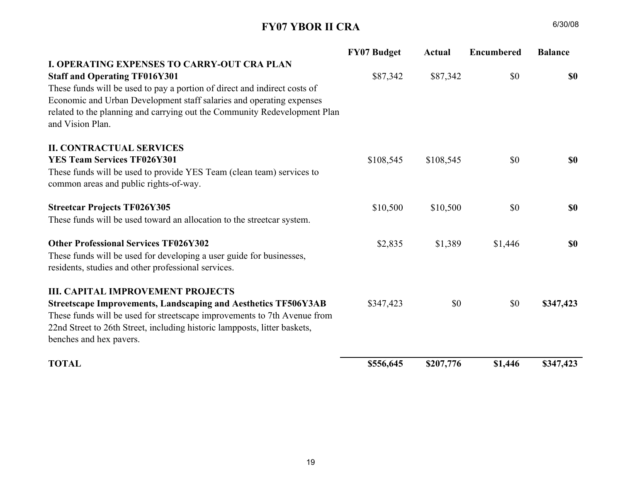## FY06 YBOR II CRA

|                                                                                  | <b>FY06 Budget</b> | Actual    | <b>Encumbered</b> | <b>Balance</b> |
|----------------------------------------------------------------------------------|--------------------|-----------|-------------------|----------------|
| <b>I. GENERAL GOVERNMENT OPERATING EXPENSES</b>                                  |                    |           |                   |                |
| <b>Salaries and Operating TF016Y201</b>                                          | \$33,274           | \$33,274  | \$0               | <b>SO</b>      |
| For a portion of City staff salaries related to the planning and carrying out of |                    |           |                   |                |
| a community redevelopment plan and operating costs.                              |                    |           |                   |                |
| <b>II. CONTRACTUAL SERVICES TF026Y201</b>                                        | \$81,729           | \$81,729  | \$0               | <b>SO</b>      |
| For YES Team (clean team) services in public rights of way.                      |                    |           |                   |                |
| <b>III. CAPITAL IMPROVEMENT PROJECTS</b>                                         |                    |           |                   |                |
| <b>District Streetscape TF506Y2AB</b>                                            | \$165,495          | \$41,480  | \$7,253           | \$116,762      |
| For streetscape improvements to 7th Avenue from 22nd Street to 26th Street       |                    |           |                   |                |
| including historic lampposts, litter baskets, benches and hex pavers.            |                    |           |                   |                |
| <b>TOTAL</b>                                                                     | \$280,498          | \$156,483 | \$7,253           | \$116,762      |
|                                                                                  |                    |           |                   |                |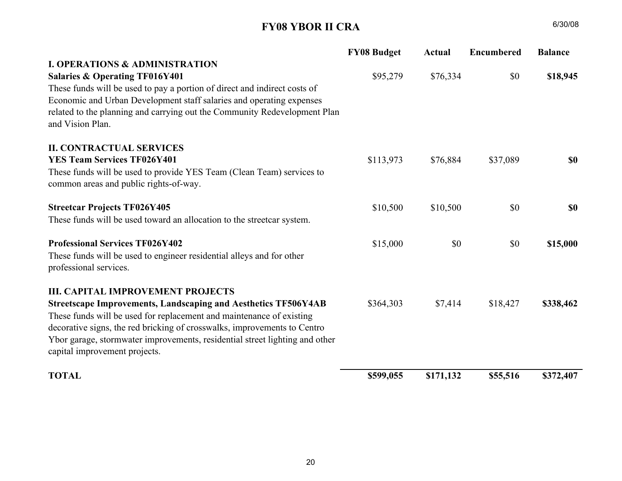## FY07 YBOR II CRA

| <b>FY07 Budget</b>                                                        | <b>Actual</b>        | <b>Encumbered</b> | <b>Balance</b> |
|---------------------------------------------------------------------------|----------------------|-------------------|----------------|
|                                                                           |                      |                   |                |
| \$87,342                                                                  | \$87,342             | \$0               | <b>SO</b>      |
|                                                                           |                      |                   |                |
|                                                                           |                      |                   |                |
| related to the planning and carrying out the Community Redevelopment Plan |                      |                   |                |
|                                                                           |                      |                   |                |
|                                                                           |                      |                   |                |
| \$108,545                                                                 | \$108,545            | \$0               | <b>SO</b>      |
|                                                                           |                      |                   |                |
|                                                                           |                      |                   |                |
| \$10,500                                                                  | \$10,500             | \$0               | <b>SO</b>      |
|                                                                           |                      |                   |                |
|                                                                           |                      |                   | <b>SO</b>      |
|                                                                           |                      |                   |                |
|                                                                           |                      |                   |                |
|                                                                           |                      |                   |                |
|                                                                           |                      |                   | \$347,423      |
|                                                                           |                      |                   |                |
|                                                                           |                      |                   |                |
|                                                                           |                      |                   |                |
| \$556,645                                                                 | \$207,776            | \$1,446           | \$347,423      |
|                                                                           | \$2,835<br>\$347,423 | \$1,389<br>\$0    | \$1,446<br>\$0 |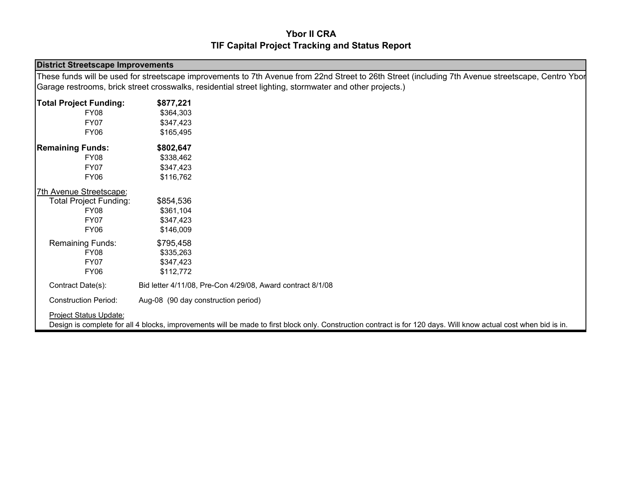## FY08 YBOR II CRA

|                                                                                                 | <b>FY08 Budget</b> | <b>Actual</b> | <b>Encumbered</b> | <b>Balance</b> |
|-------------------------------------------------------------------------------------------------|--------------------|---------------|-------------------|----------------|
| <b>I. OPERATIONS &amp; ADMINISTRATION</b>                                                       |                    |               |                   |                |
| <b>Salaries &amp; Operating TF016Y401</b>                                                       | \$95,279           | \$76,334      | \$0               | \$18,945       |
| These funds will be used to pay a portion of direct and indirect costs of                       |                    |               |                   |                |
| Economic and Urban Development staff salaries and operating expenses                            |                    |               |                   |                |
| related to the planning and carrying out the Community Redevelopment Plan<br>and Vision Plan.   |                    |               |                   |                |
| <b>II. CONTRACTUAL SERVICES</b>                                                                 |                    |               |                   |                |
| <b>YES Team Services TF026Y401</b>                                                              | \$113,973          | \$76,884      | \$37,089          | <b>SO</b>      |
| These funds will be used to provide YES Team (Clean Team) services to                           |                    |               |                   |                |
| common areas and public rights-of-way.                                                          |                    |               |                   |                |
| <b>Streetcar Projects TF026Y405</b>                                                             | \$10,500           | \$10,500      | \$0               | <b>SO</b>      |
| These funds will be used toward an allocation to the streetcar system.                          |                    |               |                   |                |
| <b>Professional Services TF026Y402</b>                                                          | \$15,000           | \$0           | \$0               | \$15,000       |
| These funds will be used to engineer residential alleys and for other<br>professional services. |                    |               |                   |                |
| <b>III. CAPITAL IMPROVEMENT PROJECTS</b>                                                        |                    |               |                   |                |
| <b>Streetscape Improvements, Landscaping and Aesthetics TF506Y4AB</b>                           | \$364,303          | \$7,414       | \$18,427          | \$338,462      |
| These funds will be used for replacement and maintenance of existing                            |                    |               |                   |                |
| decorative signs, the red bricking of crosswalks, improvements to Centro                        |                    |               |                   |                |
| Ybor garage, stormwater improvements, residential street lighting and other                     |                    |               |                   |                |
| capital improvement projects.                                                                   |                    |               |                   |                |
| <b>TOTAL</b>                                                                                    | \$599,055          | \$171,132     | \$55,516          | \$372,407      |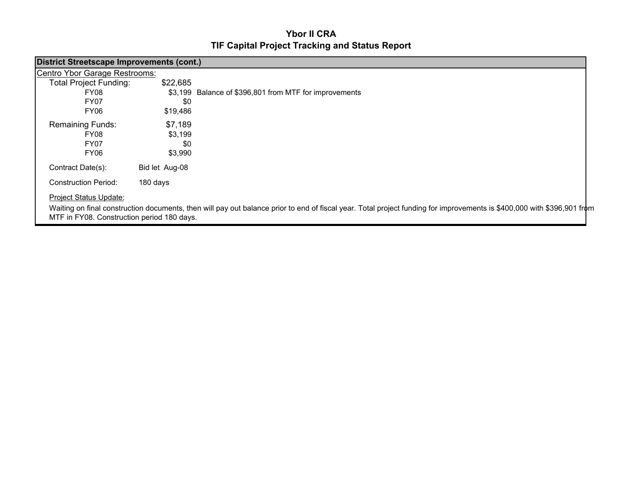## Ybor II CRATIF Capital Project Tracking and Status Report

| <b>District Streetscape Improvements</b> |                                                                                                                                                                  |  |  |  |  |
|------------------------------------------|------------------------------------------------------------------------------------------------------------------------------------------------------------------|--|--|--|--|
|                                          | These funds will be used for streetscape improvements to 7th Avenue from 22nd Street to 26th Street (including 7th Avenue streetscape, Centro Ybor               |  |  |  |  |
|                                          | Garage restrooms, brick street crosswalks, residential street lighting, stormwater and other projects.)                                                          |  |  |  |  |
| <b>Total Project Funding:</b>            | \$877,221                                                                                                                                                        |  |  |  |  |
| <b>FY08</b>                              | \$364,303                                                                                                                                                        |  |  |  |  |
| <b>FY07</b>                              | \$347,423                                                                                                                                                        |  |  |  |  |
| <b>FY06</b>                              | \$165,495                                                                                                                                                        |  |  |  |  |
| <b>Remaining Funds:</b>                  | \$802,647                                                                                                                                                        |  |  |  |  |
| <b>FY08</b>                              | \$338,462                                                                                                                                                        |  |  |  |  |
| <b>FY07</b>                              | \$347,423                                                                                                                                                        |  |  |  |  |
| <b>FY06</b>                              | \$116,762                                                                                                                                                        |  |  |  |  |
| 7th Avenue Streetscape:                  |                                                                                                                                                                  |  |  |  |  |
| <b>Total Project Funding:</b>            | \$854,536                                                                                                                                                        |  |  |  |  |
| <b>FY08</b>                              | \$361,104                                                                                                                                                        |  |  |  |  |
| <b>FY07</b>                              | \$347,423                                                                                                                                                        |  |  |  |  |
| <b>FY06</b>                              | \$146,009                                                                                                                                                        |  |  |  |  |
| Remaining Funds:                         | \$795,458                                                                                                                                                        |  |  |  |  |
| <b>FY08</b>                              | \$335,263                                                                                                                                                        |  |  |  |  |
| FY07                                     | \$347,423                                                                                                                                                        |  |  |  |  |
| <b>FY06</b>                              | \$112,772                                                                                                                                                        |  |  |  |  |
| Contract Date(s):                        | Bid letter 4/11/08, Pre-Con 4/29/08, Award contract 8/1/08                                                                                                       |  |  |  |  |
| <b>Construction Period:</b>              | Aug-08 (90 day construction period)                                                                                                                              |  |  |  |  |
| <b>Project Status Update:</b>            |                                                                                                                                                                  |  |  |  |  |
|                                          | Design is complete for all 4 blocks, improvements will be made to first block only. Construction contract is for 120 days. Will know actual cost when bid is in. |  |  |  |  |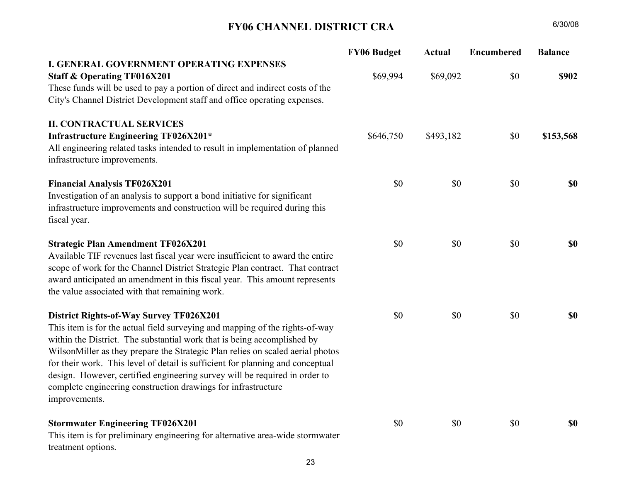## Ybor II CRATIF Capital Project Tracking and Status Report

| <b>District Streetscape Improvements (cont.)</b>                                                                                                                                                                      |                |                                                        |  |  |
|-----------------------------------------------------------------------------------------------------------------------------------------------------------------------------------------------------------------------|----------------|--------------------------------------------------------|--|--|
| Centro Ybor Garage Restrooms:                                                                                                                                                                                         |                |                                                        |  |  |
| <b>Total Project Funding:</b>                                                                                                                                                                                         | \$22,685       |                                                        |  |  |
| FY08                                                                                                                                                                                                                  |                | \$3,199 Balance of \$396,801 from MTF for improvements |  |  |
| <b>FY07</b>                                                                                                                                                                                                           | \$0            |                                                        |  |  |
| FY06                                                                                                                                                                                                                  | \$19,486       |                                                        |  |  |
| <b>Remaining Funds:</b>                                                                                                                                                                                               | \$7,189        |                                                        |  |  |
| <b>FY08</b>                                                                                                                                                                                                           | \$3,199        |                                                        |  |  |
| FY07                                                                                                                                                                                                                  | \$0            |                                                        |  |  |
| <b>FY06</b>                                                                                                                                                                                                           | \$3,990        |                                                        |  |  |
| Contract Date(s):                                                                                                                                                                                                     | Bid let Aug-08 |                                                        |  |  |
| <b>Construction Period:</b>                                                                                                                                                                                           | 180 days       |                                                        |  |  |
| Project Status Update:                                                                                                                                                                                                |                |                                                        |  |  |
| Waiting on final construction documents, then will pay out balance prior to end of fiscal year. Total project funding for improvements is \$400,000 with \$396,901 from<br>MTF in FY08. Construction period 180 days. |                |                                                        |  |  |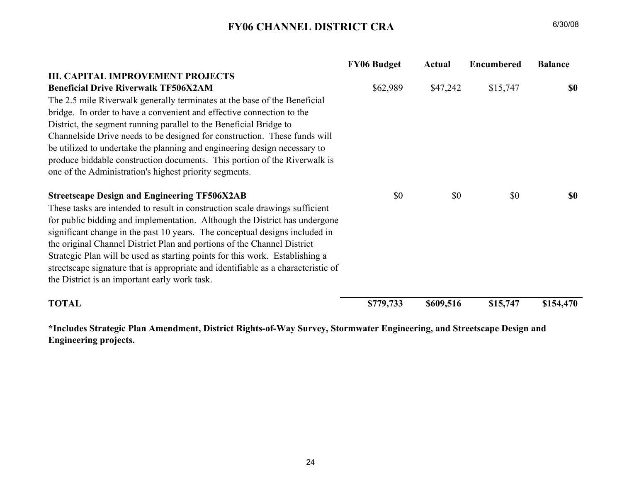## FY06 CHANNEL DISTRICT CRA

|                                                                                                               | <b>FY06 Budget</b> | <b>Actual</b> | <b>Encumbered</b> | <b>Balance</b> |
|---------------------------------------------------------------------------------------------------------------|--------------------|---------------|-------------------|----------------|
| I. GENERAL GOVERNMENT OPERATING EXPENSES                                                                      |                    |               |                   |                |
| <b>Staff &amp; Operating TF016X201</b>                                                                        | \$69,994           | \$69,092      | \$0               | \$902          |
| These funds will be used to pay a portion of direct and indirect costs of the                                 |                    |               |                   |                |
| City's Channel District Development staff and office operating expenses.                                      |                    |               |                   |                |
| <b>II. CONTRACTUAL SERVICES</b>                                                                               |                    |               |                   |                |
| <b>Infrastructure Engineering TF026X201*</b>                                                                  | \$646,750          | \$493,182     | \$0               | \$153,568      |
| All engineering related tasks intended to result in implementation of planned<br>infrastructure improvements. |                    |               |                   |                |
| <b>Financial Analysis TF026X201</b>                                                                           | \$0                | \$0           | \$0               | <b>\$0</b>     |
| Investigation of an analysis to support a bond initiative for significant                                     |                    |               |                   |                |
| infrastructure improvements and construction will be required during this                                     |                    |               |                   |                |
| fiscal year.                                                                                                  |                    |               |                   |                |
| <b>Strategic Plan Amendment TF026X201</b>                                                                     | \$0                | \$0           | \$0               | \$0            |
| Available TIF revenues last fiscal year were insufficient to award the entire                                 |                    |               |                   |                |
| scope of work for the Channel District Strategic Plan contract. That contract                                 |                    |               |                   |                |
| award anticipated an amendment in this fiscal year. This amount represents                                    |                    |               |                   |                |
| the value associated with that remaining work.                                                                |                    |               |                   |                |
| District Rights-of-Way Survey TF026X201                                                                       | \$0                | \$0           | \$0               | <b>\$0</b>     |
| This item is for the actual field surveying and mapping of the rights-of-way                                  |                    |               |                   |                |
| within the District. The substantial work that is being accomplished by                                       |                    |               |                   |                |
| WilsonMiller as they prepare the Strategic Plan relies on scaled aerial photos                                |                    |               |                   |                |
| for their work. This level of detail is sufficient for planning and conceptual                                |                    |               |                   |                |
| design. However, certified engineering survey will be required in order to                                    |                    |               |                   |                |
| complete engineering construction drawings for infrastructure                                                 |                    |               |                   |                |
| improvements.                                                                                                 |                    |               |                   |                |
| <b>Stormwater Engineering TF026X201</b>                                                                       | \$0                | \$0           | \$0               | <b>\$0</b>     |
| This item is for preliminary engineering for alternative area-wide stormwater                                 |                    |               |                   |                |
| treatment options.                                                                                            |                    |               |                   |                |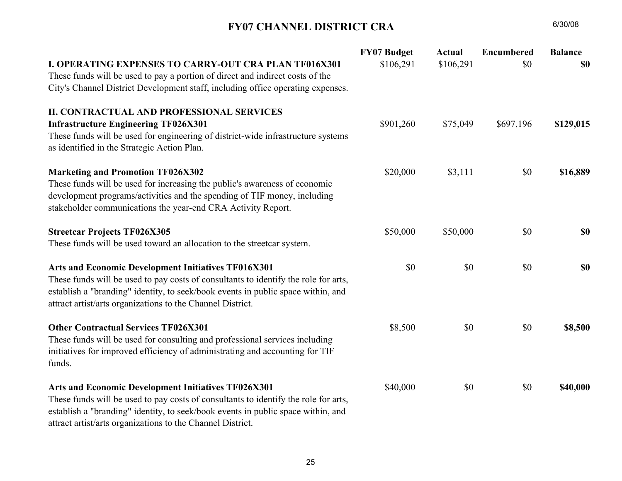## FY06 CHANNEL DISTRICT CRA

|                                                                                   | <b>FY06 Budget</b> | <b>Actual</b> | <b>Encumbered</b> | <b>Balance</b> |
|-----------------------------------------------------------------------------------|--------------------|---------------|-------------------|----------------|
| <b>III. CAPITAL IMPROVEMENT PROJECTS</b>                                          |                    |               |                   |                |
| <b>Beneficial Drive Riverwalk TF506X2AM</b>                                       | \$62,989           | \$47,242      | \$15,747          | \$0            |
| The 2.5 mile Riverwalk generally terminates at the base of the Beneficial         |                    |               |                   |                |
| bridge. In order to have a convenient and effective connection to the             |                    |               |                   |                |
| District, the segment running parallel to the Beneficial Bridge to                |                    |               |                   |                |
| Channelside Drive needs to be designed for construction. These funds will         |                    |               |                   |                |
| be utilized to undertake the planning and engineering design necessary to         |                    |               |                   |                |
| produce biddable construction documents. This portion of the Riverwalk is         |                    |               |                   |                |
| one of the Administration's highest priority segments.                            |                    |               |                   |                |
|                                                                                   |                    |               |                   |                |
| <b>Streetscape Design and Engineering TF506X2AB</b>                               | \$0                | \$0           | \$0               | \$0            |
| These tasks are intended to result in construction scale drawings sufficient      |                    |               |                   |                |
| for public bidding and implementation. Although the District has undergone        |                    |               |                   |                |
| significant change in the past 10 years. The conceptual designs included in       |                    |               |                   |                |
| the original Channel District Plan and portions of the Channel District           |                    |               |                   |                |
| Strategic Plan will be used as starting points for this work. Establishing a      |                    |               |                   |                |
| streetscape signature that is appropriate and identifiable as a characteristic of |                    |               |                   |                |
| the District is an important early work task.                                     |                    |               |                   |                |
|                                                                                   |                    |               |                   |                |
| <b>TOTAL</b>                                                                      | \$779,733          | \$609,516     | \$15,747          | \$154,470      |

\*Includes Strategic Plan Amendment, District Rights-of-Way Survey, Stormwater Engineering, and Streetscape Design and Engineering projects.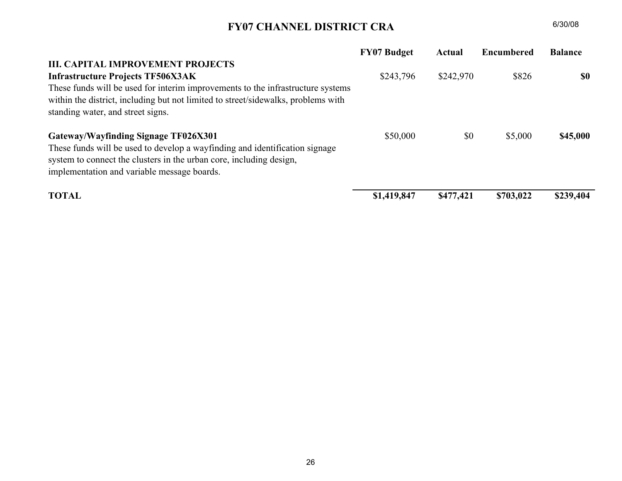## FY07 CHANNEL DISTRICT CRA

| <b>I. OPERATING EXPENSES TO CARRY-OUT CRA PLAN TF016X301</b>                                                                                                                                                                                                                                 | <b>FY07 Budget</b><br>\$106,291 | <b>Actual</b><br>\$106,291 | <b>Encumbered</b><br>\$0 | <b>Balance</b><br>\$0 |
|----------------------------------------------------------------------------------------------------------------------------------------------------------------------------------------------------------------------------------------------------------------------------------------------|---------------------------------|----------------------------|--------------------------|-----------------------|
| These funds will be used to pay a portion of direct and indirect costs of the<br>City's Channel District Development staff, including office operating expenses.                                                                                                                             |                                 |                            |                          |                       |
| <b>II. CONTRACTUAL AND PROFESSIONAL SERVICES</b>                                                                                                                                                                                                                                             |                                 |                            |                          |                       |
| <b>Infrastructure Engineering TF026X301</b><br>These funds will be used for engineering of district-wide infrastructure systems<br>as identified in the Strategic Action Plan.                                                                                                               | \$901,260                       | \$75,049                   | \$697,196                | \$129,015             |
| <b>Marketing and Promotion TF026X302</b><br>These funds will be used for increasing the public's awareness of economic<br>development programs/activities and the spending of TIF money, including<br>stakeholder communications the year-end CRA Activity Report.                           | \$20,000                        | \$3,111                    | \$0                      | \$16,889              |
| <b>Streetcar Projects TF026X305</b><br>These funds will be used toward an allocation to the streetcar system.                                                                                                                                                                                | \$50,000                        | \$50,000                   | \$0                      | \$0                   |
| Arts and Economic Development Initiatives TF016X301<br>These funds will be used to pay costs of consultants to identify the role for arts,<br>establish a "branding" identity, to seek/book events in public space within, and<br>attract artist/arts organizations to the Channel District. | \$0                             | \$0                        | \$0                      | \$0                   |
| <b>Other Contractual Services TF026X301</b><br>These funds will be used for consulting and professional services including<br>initiatives for improved efficiency of administrating and accounting for TIF<br>funds.                                                                         | \$8,500                         | \$0                        | \$0                      | \$8,500               |
| Arts and Economic Development Initiatives TF026X301<br>These funds will be used to pay costs of consultants to identify the role for arts,<br>establish a "branding" identity, to seek/book events in public space within, and<br>attract artist/arts organizations to the Channel District. | \$40,000                        | \$0                        | \$0                      | \$40,000              |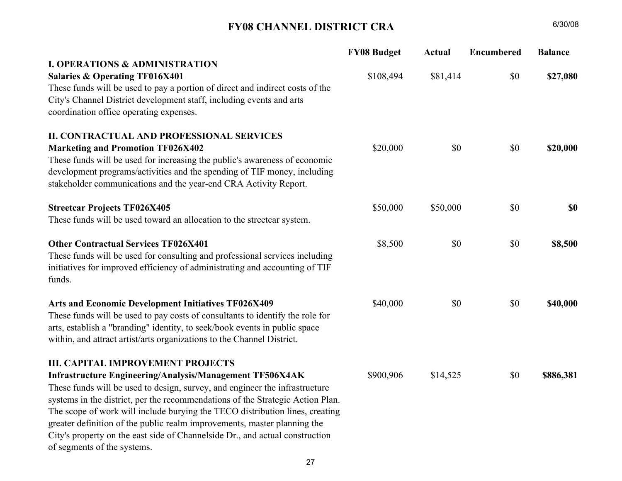## FY07 CHANNEL DISTRICT CRA

|                                                                                                                                                                                                                                                       | <b>FY07 Budget</b> | Actual    | <b>Encumbered</b> | <b>Balance</b> |
|-------------------------------------------------------------------------------------------------------------------------------------------------------------------------------------------------------------------------------------------------------|--------------------|-----------|-------------------|----------------|
| <b>III. CAPITAL IMPROVEMENT PROJECTS</b>                                                                                                                                                                                                              |                    |           |                   |                |
| <b>Infrastructure Projects TF506X3AK</b><br>These funds will be used for interim improvements to the infrastructure systems<br>within the district, including but not limited to street/sidewalks, problems with<br>standing water, and street signs. | \$243,796          | \$242,970 | \$826             | SO.            |
| Gateway/Wayfinding Signage TF026X301<br>These funds will be used to develop a wayfinding and identification signage<br>system to connect the clusters in the urban core, including design,<br>implementation and variable message boards.             | \$50,000           | \$0       | \$5,000           | \$45,000       |
| <b>TOTAL</b>                                                                                                                                                                                                                                          | \$1,419,847        | \$477,421 | \$703,022         | \$239,404      |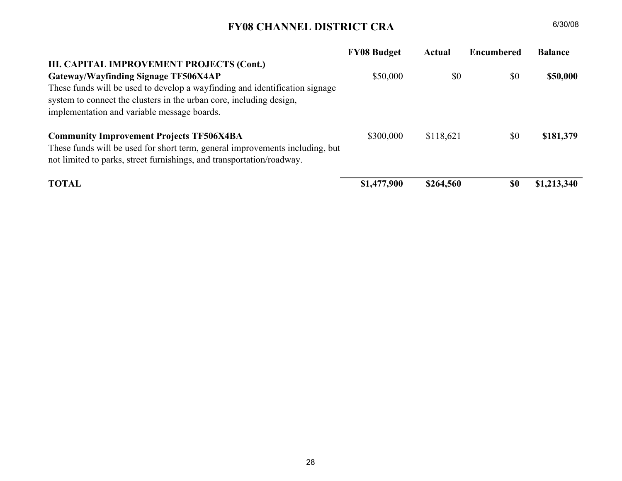## FY08 CHANNEL DISTRICT CRA

|                                                                                | <b>FY08 Budget</b> | <b>Actual</b> | Encumbered | <b>Balance</b> |
|--------------------------------------------------------------------------------|--------------------|---------------|------------|----------------|
| <b>I. OPERATIONS &amp; ADMINISTRATION</b>                                      |                    |               |            |                |
| <b>Salaries &amp; Operating TF016X401</b>                                      | \$108,494          | \$81,414      | \$0        | \$27,080       |
| These funds will be used to pay a portion of direct and indirect costs of the  |                    |               |            |                |
| City's Channel District development staff, including events and arts           |                    |               |            |                |
| coordination office operating expenses.                                        |                    |               |            |                |
| <b>II. CONTRACTUAL AND PROFESSIONAL SERVICES</b>                               |                    |               |            |                |
| <b>Marketing and Promotion TF026X402</b>                                       | \$20,000           | \$0           | \$0        | \$20,000       |
| These funds will be used for increasing the public's awareness of economic     |                    |               |            |                |
| development programs/activities and the spending of TIF money, including       |                    |               |            |                |
| stakeholder communications and the year-end CRA Activity Report.               |                    |               |            |                |
| <b>Streetcar Projects TF026X405</b>                                            | \$50,000           | \$50,000      | \$0        | \$0            |
| These funds will be used toward an allocation to the streetcar system.         |                    |               |            |                |
| <b>Other Contractual Services TF026X401</b>                                    | \$8,500            | \$0           | \$0        | \$8,500        |
| These funds will be used for consulting and professional services including    |                    |               |            |                |
| initiatives for improved efficiency of administrating and accounting of TIF    |                    |               |            |                |
| funds.                                                                         |                    |               |            |                |
| Arts and Economic Development Initiatives TF026X409                            | \$40,000           | \$0           | \$0        | \$40,000       |
| These funds will be used to pay costs of consultants to identify the role for  |                    |               |            |                |
| arts, establish a "branding" identity, to seek/book events in public space     |                    |               |            |                |
| within, and attract artist/arts organizations to the Channel District.         |                    |               |            |                |
| <b>III. CAPITAL IMPROVEMENT PROJECTS</b>                                       |                    |               |            |                |
| Infrastructure Engineering/Analysis/Management TF506X4AK                       | \$900,906          | \$14,525      | \$0        | \$886,381      |
| These funds will be used to design, survey, and engineer the infrastructure    |                    |               |            |                |
| systems in the district, per the recommendations of the Strategic Action Plan. |                    |               |            |                |
| The scope of work will include burying the TECO distribution lines, creating   |                    |               |            |                |
| greater definition of the public realm improvements, master planning the       |                    |               |            |                |
| City's property on the east side of Channelside Dr., and actual construction   |                    |               |            |                |
| of segments of the systems.                                                    |                    |               |            |                |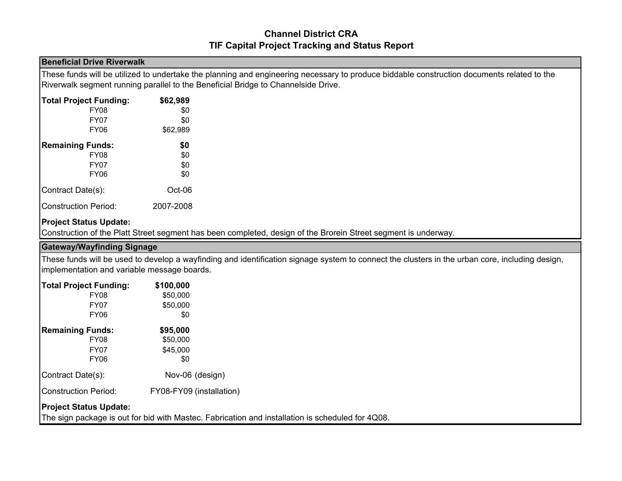## FY08 CHANNEL DISTRICT CRA

|                                                                                                                                                                                                          | <b>FY08 Budget</b> | Actual    | <b>Encumbered</b> | <b>Balance</b> |
|----------------------------------------------------------------------------------------------------------------------------------------------------------------------------------------------------------|--------------------|-----------|-------------------|----------------|
| III. CAPITAL IMPROVEMENT PROJECTS (Cont.)                                                                                                                                                                |                    |           |                   |                |
| Gateway/Wayfinding Signage TF506X4AP                                                                                                                                                                     | \$50,000           | \$0       | \$0               | \$50,000       |
| These funds will be used to develop a wayfinding and identification signage<br>system to connect the clusters in the urban core, including design,<br>implementation and variable message boards.        |                    |           |                   |                |
| <b>Community Improvement Projects TF506X4BA</b><br>These funds will be used for short term, general improvements including, but<br>not limited to parks, street furnishings, and transportation/roadway. | \$300,000          | \$118,621 | \$0               | \$181,379      |
| <b>TOTAL</b>                                                                                                                                                                                             | \$1,477,900        | \$264,560 | <b>SO</b>         | \$1,213,340    |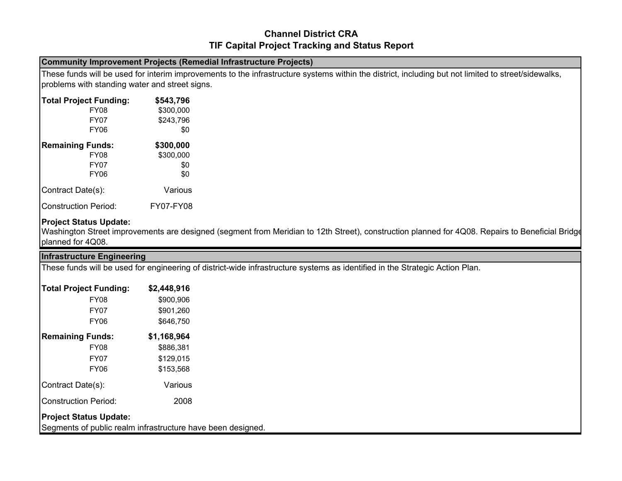## Channel District CRATIF Capital Project Tracking and Status Report

#### Beneficial Drive Riverwalk

These funds will be utilized to undertake the planning and engineering necessary to produce biddable construction documents related to the Riverwalk segment running parallel to the Beneficial Bridge to Channelside Drive.

| <b>Total Project Funding:</b> | \$62,989  |
|-------------------------------|-----------|
| FY08                          | \$0       |
| <b>FY07</b>                   | \$0       |
| FY <sub>06</sub>              | \$62,989  |
| <b>Remaining Funds:</b>       | \$0       |
| <b>FY08</b>                   | \$0       |
| <b>FY07</b>                   | \$0       |
| FY <sub>06</sub>              | \$0       |
| Contract Date(s):             | $Oct-06$  |
| Construction Period:          | 2007-2008 |

#### Project Status Update:

Construction of the Platt Street segment has been completed, design of the Brorein Street segment is underway.

#### Gateway/Wayfinding Signage

 These funds will be used to develop a wayfinding and identification signage system to connect the clusters in the urban core, including design, implementation and variable message boards.

| <b>Total Project Funding:</b> | \$100,000                |
|-------------------------------|--------------------------|
| <b>FY08</b>                   | \$50,000                 |
| FY07                          | \$50,000                 |
| FY06                          | \$0                      |
| <b>Remaining Funds:</b>       | \$95,000                 |
| <b>FY08</b>                   | \$50,000                 |
| FY07                          | \$45,000                 |
| FY06                          | \$0                      |
| Contract Date(s):             | Nov-06 (design)          |
| <b>Construction Period:</b>   | FY08-FY09 (installation) |
|                               |                          |

#### Project Status Update:

The sign package is out for bid with Mastec. Fabrication and installation is scheduled for 4Q08.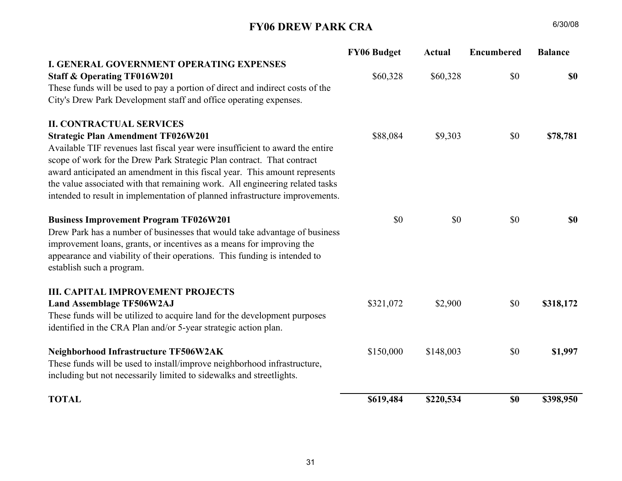## Channel District CRATIF Capital Project Tracking and Status Report

#### Community Improvement Projects (Remedial Infrastructure Projects)

 These funds will be used for interim improvements to the infrastructure systems within the district, including but not limited to street/sidewalks, problems with standing water and street signs.

| <b>Total Project Funding:</b> | \$543,796 |
|-------------------------------|-----------|
| FY08                          | \$300,000 |
| <b>FY07</b>                   | \$243,796 |
| FY06                          | \$0       |
| <b>Remaining Funds:</b>       | \$300,000 |
| <b>FY08</b>                   | \$300,000 |
| <b>FY07</b>                   | \$0       |
| FY06                          | \$0       |
| Contract Date(s):             | Various   |
| Construction Period:          | FY07-FY08 |

#### Project Status Update:

 Washington Street improvements are designed (segment from Meridian to 12th Street), construction planned for 4Q08. Repairs to Beneficial Bridge planned for 4Q08.

| <b>Infrastructure Engineering</b>                           |             |                                                                                                                              |
|-------------------------------------------------------------|-------------|------------------------------------------------------------------------------------------------------------------------------|
|                                                             |             | These funds will be used for engineering of district-wide infrastructure systems as identified in the Strategic Action Plan. |
| <b>Total Project Funding:</b>                               | \$2,448,916 |                                                                                                                              |
| FY08                                                        | \$900,906   |                                                                                                                              |
| <b>FY07</b>                                                 | \$901,260   |                                                                                                                              |
| FY06                                                        | \$646,750   |                                                                                                                              |
| <b>Remaining Funds:</b>                                     | \$1,168,964 |                                                                                                                              |
| FY08                                                        | \$886,381   |                                                                                                                              |
| <b>FY07</b>                                                 | \$129,015   |                                                                                                                              |
| FY06                                                        | \$153,568   |                                                                                                                              |
| Contract Date(s):                                           | Various     |                                                                                                                              |
| <b>Construction Period:</b>                                 | 2008        |                                                                                                                              |
| <b>Project Status Update:</b>                               |             |                                                                                                                              |
| Segments of public realm infrastructure have been designed. |             |                                                                                                                              |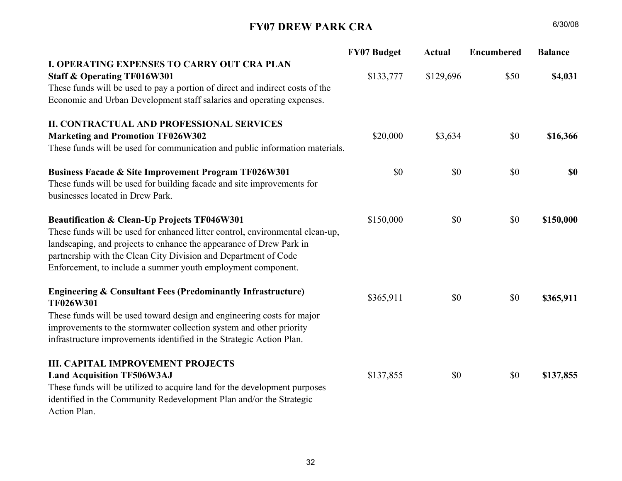## FY06 DREW PARK CRA

|                                                                               | <b>FY06 Budget</b> | <b>Actual</b> | <b>Encumbered</b> | <b>Balance</b> |
|-------------------------------------------------------------------------------|--------------------|---------------|-------------------|----------------|
| I. GENERAL GOVERNMENT OPERATING EXPENSES                                      |                    |               |                   |                |
| <b>Staff &amp; Operating TF016W201</b>                                        | \$60,328           | \$60,328      | \$0               | \$0            |
| These funds will be used to pay a portion of direct and indirect costs of the |                    |               |                   |                |
| City's Drew Park Development staff and office operating expenses.             |                    |               |                   |                |
| <b>II. CONTRACTUAL SERVICES</b>                                               |                    |               |                   |                |
| <b>Strategic Plan Amendment TF026W201</b>                                     | \$88,084           | \$9,303       | \$0               | \$78,781       |
| Available TIF revenues last fiscal year were insufficient to award the entire |                    |               |                   |                |
| scope of work for the Drew Park Strategic Plan contract. That contract        |                    |               |                   |                |
| award anticipated an amendment in this fiscal year. This amount represents    |                    |               |                   |                |
| the value associated with that remaining work. All engineering related tasks  |                    |               |                   |                |
| intended to result in implementation of planned infrastructure improvements.  |                    |               |                   |                |
| <b>Business Improvement Program TF026W201</b>                                 | \$0                | \$0           | \$0               | \$0            |
| Drew Park has a number of businesses that would take advantage of business    |                    |               |                   |                |
| improvement loans, grants, or incentives as a means for improving the         |                    |               |                   |                |
| appearance and viability of their operations. This funding is intended to     |                    |               |                   |                |
| establish such a program.                                                     |                    |               |                   |                |
| <b>III. CAPITAL IMPROVEMENT PROJECTS</b>                                      |                    |               |                   |                |
| <b>Land Assemblage TF506W2AJ</b>                                              | \$321,072          | \$2,900       | \$0               | \$318,172      |
| These funds will be utilized to acquire land for the development purposes     |                    |               |                   |                |
| identified in the CRA Plan and/or 5-year strategic action plan.               |                    |               |                   |                |
| Neighborhood Infrastructure TF506W2AK                                         | \$150,000          | \$148,003     | \$0               | \$1,997        |
| These funds will be used to install/improve neighborhood infrastructure,      |                    |               |                   |                |
| including but not necessarily limited to sidewalks and streetlights.          |                    |               |                   |                |
| <b>TOTAL</b>                                                                  | \$619,484          | \$220,534     | <b>SO</b>         | \$398,950      |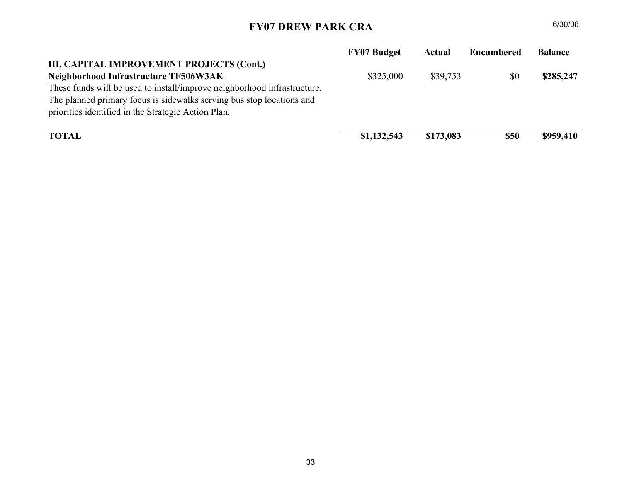## FY07 DREW PARK CRA

|                                                                                      | <b>FY07 Budget</b> | <b>Actual</b> | <b>Encumbered</b> | <b>Balance</b> |
|--------------------------------------------------------------------------------------|--------------------|---------------|-------------------|----------------|
| <b>I. OPERATING EXPENSES TO CARRY OUT CRA PLAN</b>                                   |                    |               |                   |                |
| <b>Staff &amp; Operating TF016W301</b>                                               | \$133,777          | \$129,696     | \$50              | \$4,031        |
| These funds will be used to pay a portion of direct and indirect costs of the        |                    |               |                   |                |
| Economic and Urban Development staff salaries and operating expenses.                |                    |               |                   |                |
| <b>II. CONTRACTUAL AND PROFESSIONAL SERVICES</b>                                     |                    |               |                   |                |
| <b>Marketing and Promotion TF026W302</b>                                             | \$20,000           | \$3,634       | \$0               | \$16,366       |
| These funds will be used for communication and public information materials.         |                    |               |                   |                |
| <b>Business Facade &amp; Site Improvement Program TF026W301</b>                      | \$0                | \$0           | \$0               | <b>\$0</b>     |
| These funds will be used for building facade and site improvements for               |                    |               |                   |                |
| businesses located in Drew Park.                                                     |                    |               |                   |                |
| Beautification & Clean-Up Projects TF046W301                                         | \$150,000          | \$0           | \$0               | \$150,000      |
| These funds will be used for enhanced litter control, environmental clean-up,        |                    |               |                   |                |
| landscaping, and projects to enhance the appearance of Drew Park in                  |                    |               |                   |                |
| partnership with the Clean City Division and Department of Code                      |                    |               |                   |                |
| Enforcement, to include a summer youth employment component.                         |                    |               |                   |                |
| <b>Engineering &amp; Consultant Fees (Predominantly Infrastructure)</b><br>TF026W301 | \$365,911          | \$0           | \$0               | \$365,911      |
| These funds will be used toward design and engineering costs for major               |                    |               |                   |                |
| improvements to the stormwater collection system and other priority                  |                    |               |                   |                |
| infrastructure improvements identified in the Strategic Action Plan.                 |                    |               |                   |                |
| <b>III. CAPITAL IMPROVEMENT PROJECTS</b>                                             |                    |               |                   |                |
| <b>Land Acquisition TF506W3AJ</b>                                                    | \$137,855          | \$0           | \$0               | \$137,855      |
| These funds will be utilized to acquire land for the development purposes            |                    |               |                   |                |
| identified in the Community Redevelopment Plan and/or the Strategic                  |                    |               |                   |                |
| Action Plan.                                                                         |                    |               |                   |                |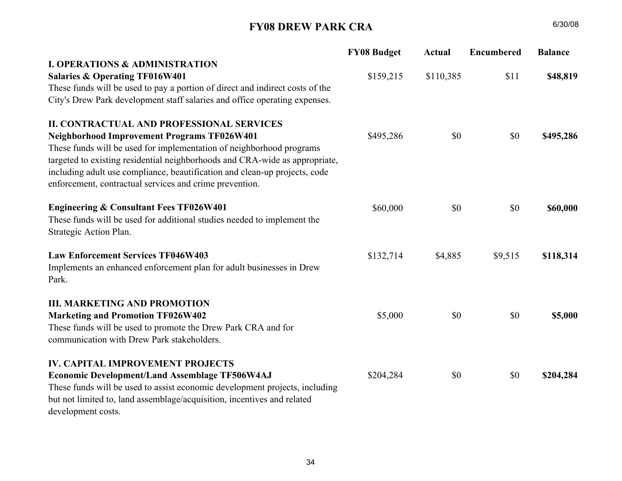## FY07 DREW PARK CRA

|                                                                          | <b>FY07 Budget</b> | Actual    | Encumbered  | <b>Balance</b> |
|--------------------------------------------------------------------------|--------------------|-----------|-------------|----------------|
| III. CAPITAL IMPROVEMENT PROJECTS (Cont.)                                |                    |           |             |                |
| Neighborhood Infrastructure TF506W3AK                                    | \$325,000          | \$39,753  | \$0         | \$285,247      |
| These funds will be used to install/improve neighborhood infrastructure. |                    |           |             |                |
| The planned primary focus is sidewalks serving bus stop locations and    |                    |           |             |                |
| priorities identified in the Strategic Action Plan.                      |                    |           |             |                |
| <b>TOTAL</b>                                                             | \$1,132,543        | \$173,083 | <b>\$50</b> | \$959,410      |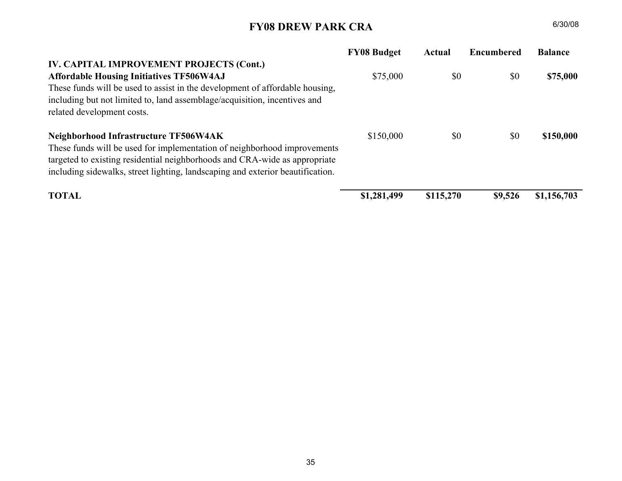## FY08 DREW PARK CRA

|                                                                                                                                                     | <b>FY08 Budget</b> | Actual    | <b>Encumbered</b> | <b>Balance</b> |
|-----------------------------------------------------------------------------------------------------------------------------------------------------|--------------------|-----------|-------------------|----------------|
| <b>I. OPERATIONS &amp; ADMINISTRATION</b>                                                                                                           |                    |           |                   |                |
| <b>Salaries &amp; Operating TF016W401</b>                                                                                                           | \$159,215          | \$110,385 | \$11              | \$48,819       |
| These funds will be used to pay a portion of direct and indirect costs of the                                                                       |                    |           |                   |                |
| City's Drew Park development staff salaries and office operating expenses.                                                                          |                    |           |                   |                |
| <b>II. CONTRACTUAL AND PROFESSIONAL SERVICES</b>                                                                                                    |                    |           |                   |                |
| <b>Neighborhood Improvement Programs TF026W401</b>                                                                                                  | \$495,286          | \$0       | \$0               | \$495,286      |
| These funds will be used for implementation of neighborhood programs<br>targeted to existing residential neighborhoods and CRA-wide as appropriate, |                    |           |                   |                |
| including adult use compliance, beautification and clean-up projects, code<br>enforcement, contractual services and crime prevention.               |                    |           |                   |                |
| <b>Engineering &amp; Consultant Fees TF026W401</b>                                                                                                  | \$60,000           | \$0       | \$0               | \$60,000       |
| These funds will be used for additional studies needed to implement the<br>Strategic Action Plan.                                                   |                    |           |                   |                |
| <b>Law Enforcement Services TF046W403</b>                                                                                                           | \$132,714          | \$4,885   | \$9,515           | \$118,314      |
| Implements an enhanced enforcement plan for adult businesses in Drew<br>Park.                                                                       |                    |           |                   |                |
| <b>III. MARKETING AND PROMOTION</b>                                                                                                                 |                    |           |                   |                |
| <b>Marketing and Promotion TF026W402</b>                                                                                                            | \$5,000            | \$0       | \$0               | \$5,000        |
| These funds will be used to promote the Drew Park CRA and for                                                                                       |                    |           |                   |                |
| communication with Drew Park stakeholders.                                                                                                          |                    |           |                   |                |
| <b>IV. CAPITAL IMPROVEMENT PROJECTS</b>                                                                                                             |                    |           |                   |                |
| <b>Economic Development/Land Assemblage TF506W4AJ</b>                                                                                               | \$204,284          | \$0       | \$0               | \$204,284      |
| These funds will be used to assist economic development projects, including                                                                         |                    |           |                   |                |
| but not limited to, land assemblage/acquisition, incentives and related                                                                             |                    |           |                   |                |
| development costs.                                                                                                                                  |                    |           |                   |                |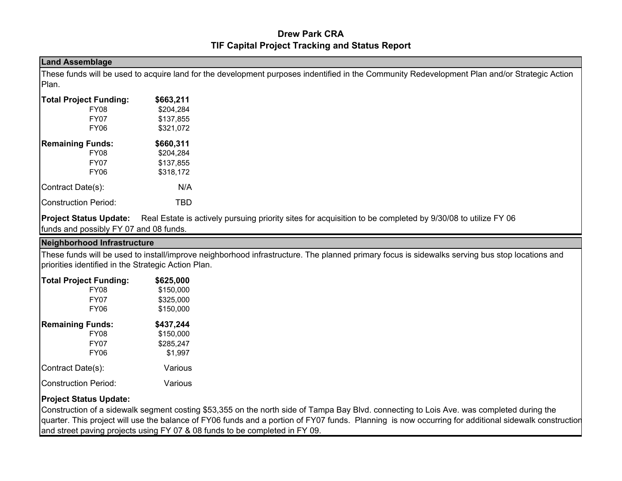## FY08 DREW PARK CRA

|                                                                                | <b>FY08 Budget</b> | Actual    | <b>Encumbered</b> | <b>Balance</b> |
|--------------------------------------------------------------------------------|--------------------|-----------|-------------------|----------------|
| IV. CAPITAL IMPROVEMENT PROJECTS (Cont.)                                       |                    |           |                   |                |
| <b>Affordable Housing Initiatives TF506W4AJ</b>                                | \$75,000           | \$0       | \$0               | \$75,000       |
| These funds will be used to assist in the development of affordable housing,   |                    |           |                   |                |
| including but not limited to, land assemblage/acquisition, incentives and      |                    |           |                   |                |
| related development costs.                                                     |                    |           |                   |                |
| Neighborhood Infrastructure TF506W4AK                                          | \$150,000          | \$0       | \$0               | \$150,000      |
| These funds will be used for implementation of neighborhood improvements       |                    |           |                   |                |
| targeted to existing residential neighborhoods and CRA-wide as appropriate     |                    |           |                   |                |
| including sidewalks, street lighting, landscaping and exterior beautification. |                    |           |                   |                |
|                                                                                |                    |           |                   |                |
| <b>TOTAL</b>                                                                   | \$1,281,499        | \$115,270 | \$9,526           | \$1,156,703    |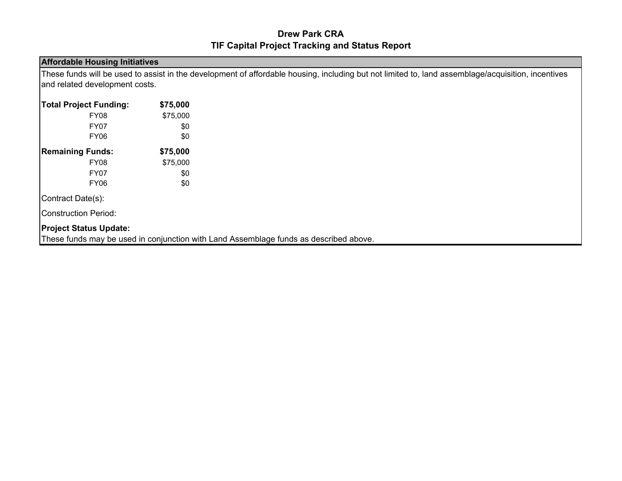### Drew Park CRATIF Capital Project Tracking and Status Report

#### Land Assemblage

 These funds will be used to acquire land for the development purposes indentified in the Community Redevelopment Plan and/or Strategic Action Plan.

| <b>Total Project Funding:</b> | \$663,211 |
|-------------------------------|-----------|
| <b>FY08</b>                   | \$204,284 |
| <b>FY07</b>                   | \$137,855 |
| FY <sub>06</sub>              | \$321,072 |
| <b>Remaining Funds:</b>       | \$660,311 |
| <b>FY08</b>                   | \$204.284 |
| <b>FY07</b>                   | \$137,855 |
| FY06                          | \$318,172 |
| Contract Date(s):             | N/A       |
| <b>Construction Period:</b>   | TBD       |

**Project Status Update:** Real Estate is actively pursuing priority sites for acquisition to be completed by 9/30/08 to utilize FY 06 funds and possibly FY 07 and 08 funds.

#### Neighborhood Infrastructure

 These funds will be used to install/improve neighborhood infrastructure. The planned primary focus is sidewalks serving bus stop locations and priorities identified in the Strategic Action Plan.

| <b>Total Project Funding:</b> | \$625,000 |
|-------------------------------|-----------|
| <b>FY08</b>                   | \$150,000 |
| <b>FY07</b>                   | \$325,000 |
| FY06                          | \$150,000 |
| <b>Remaining Funds:</b>       | \$437,244 |
| <b>FY08</b>                   | \$150,000 |
| <b>FY07</b>                   | \$285.247 |
| FY06                          | \$1,997   |
| Contract Date(s):             | Various   |
| <b>Construction Period:</b>   | Various   |

#### Project Status Update:

 Construction of a sidewalk segment costing \$53,355 on the north side of Tampa Bay Blvd. connecting to Lois Ave. was completed during the quarter. This project will use the balance of FY06 funds and a portion of FY07 funds. Planning is now occurring for additional sidewalk construction and street paving projects using FY 07 & 08 funds to be completed in FY 09.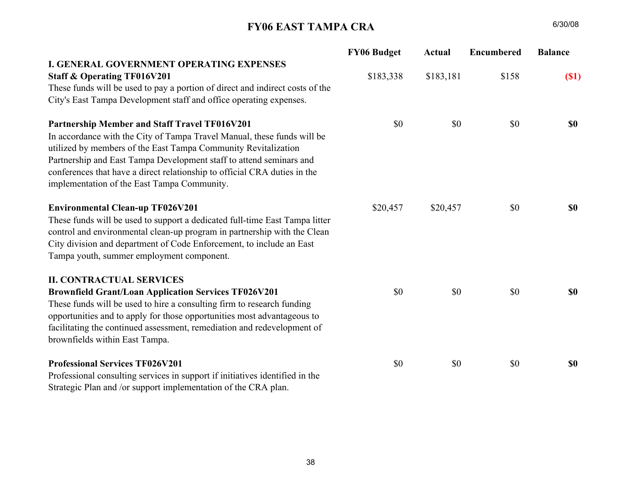### Drew Park CRATIF Capital Project Tracking and Status Report

#### Affordable Housing Initiatives

 These funds will be used to assist in the development of affordable housing, including but not limited to, land assemblage/acquisition, incentives and related development costs.

| <b>Total Project Funding:</b> | \$75,000 |
|-------------------------------|----------|
| <b>FY08</b>                   | \$75,000 |
| <b>FY07</b>                   | \$0      |
| <b>FY06</b>                   | \$0      |
| <b>Remaining Funds:</b>       | \$75,000 |
| <b>FY08</b>                   | \$75,000 |
| <b>FY07</b>                   | \$0      |
| FY <sub>06</sub>              | \$0      |
| Contract Date(s):             |          |
| <b>Construction Period:</b>   |          |

Project Status Update:

These funds may be used in conjunction with Land Assemblage funds as described above.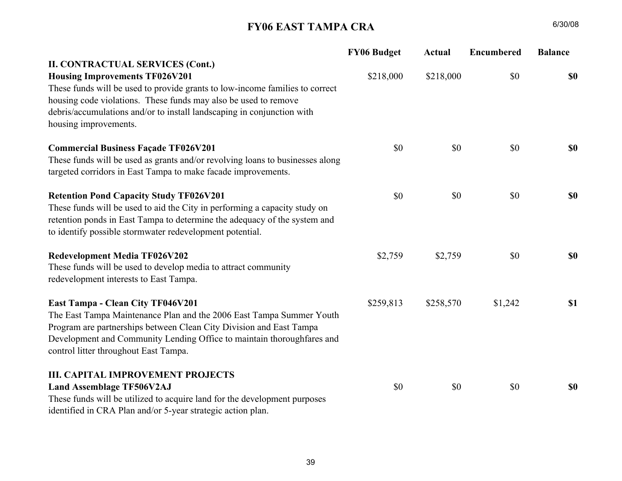#### FY06 EAST TAMPA CRA $A = 6/30/08$

|                                                                               | <b>FY06 Budget</b> | Actual    | <b>Encumbered</b> | <b>Balance</b> |
|-------------------------------------------------------------------------------|--------------------|-----------|-------------------|----------------|
| <b>I. GENERAL GOVERNMENT OPERATING EXPENSES</b>                               |                    |           |                   |                |
| <b>Staff &amp; Operating TF016V201</b>                                        | \$183,338          | \$183,181 | \$158             | (S1)           |
| These funds will be used to pay a portion of direct and indirect costs of the |                    |           |                   |                |
| City's East Tampa Development staff and office operating expenses.            |                    |           |                   |                |
| <b>Partnership Member and Staff Travel TF016V201</b>                          | \$0                | \$0       | \$0               | <b>SO</b>      |
| In accordance with the City of Tampa Travel Manual, these funds will be       |                    |           |                   |                |
| utilized by members of the East Tampa Community Revitalization                |                    |           |                   |                |
| Partnership and East Tampa Development staff to attend seminars and           |                    |           |                   |                |
| conferences that have a direct relationship to official CRA duties in the     |                    |           |                   |                |
| implementation of the East Tampa Community.                                   |                    |           |                   |                |
| <b>Environmental Clean-up TF026V201</b>                                       | \$20,457           | \$20,457  | \$0               | <b>SO</b>      |
| These funds will be used to support a dedicated full-time East Tampa litter   |                    |           |                   |                |
| control and environmental clean-up program in partnership with the Clean      |                    |           |                   |                |
| City division and department of Code Enforcement, to include an East          |                    |           |                   |                |
| Tampa youth, summer employment component.                                     |                    |           |                   |                |
| <b>II. CONTRACTUAL SERVICES</b>                                               |                    |           |                   |                |
| <b>Brownfield Grant/Loan Application Services TF026V201</b>                   | \$0                | \$0       | \$0               | <b>SO</b>      |
| These funds will be used to hire a consulting firm to research funding        |                    |           |                   |                |
| opportunities and to apply for those opportunities most advantageous to       |                    |           |                   |                |
| facilitating the continued assessment, remediation and redevelopment of       |                    |           |                   |                |
| brownfields within East Tampa.                                                |                    |           |                   |                |
| <b>Professional Services TF026V201</b>                                        | \$0                | \$0       | \$0               | \$0            |
| Professional consulting services in support if initiatives identified in the  |                    |           |                   |                |
| Strategic Plan and /or support implementation of the CRA plan.                |                    |           |                   |                |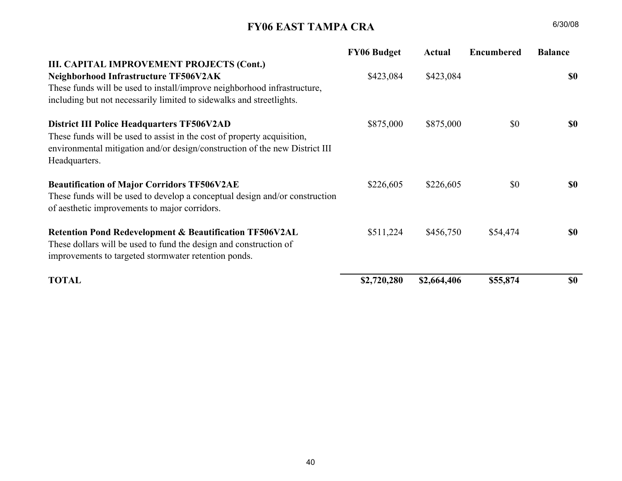## FY06 EAST TAMPA CRA

|                                                                               | <b>FY06 Budget</b> | <b>Actual</b> | <b>Encumbered</b> | <b>Balance</b> |
|-------------------------------------------------------------------------------|--------------------|---------------|-------------------|----------------|
| <b>II. CONTRACTUAL SERVICES (Cont.)</b>                                       |                    |               |                   |                |
| <b>Housing Improvements TF026V201</b>                                         | \$218,000          | \$218,000     | \$0               | <b>\$0</b>     |
| These funds will be used to provide grants to low-income families to correct  |                    |               |                   |                |
| housing code violations. These funds may also be used to remove               |                    |               |                   |                |
| debris/accumulations and/or to install landscaping in conjunction with        |                    |               |                   |                |
| housing improvements.                                                         |                    |               |                   |                |
| <b>Commercial Business Façade TF026V201</b>                                   | \$0                | \$0           | \$0               | \$0            |
| These funds will be used as grants and/or revolving loans to businesses along |                    |               |                   |                |
| targeted corridors in East Tampa to make facade improvements.                 |                    |               |                   |                |
| <b>Retention Pond Capacity Study TF026V201</b>                                | \$0                | \$0           | \$0               | <b>\$0</b>     |
| These funds will be used to aid the City in performing a capacity study on    |                    |               |                   |                |
| retention ponds in East Tampa to determine the adequacy of the system and     |                    |               |                   |                |
| to identify possible stormwater redevelopment potential.                      |                    |               |                   |                |
| <b>Redevelopment Media TF026V202</b>                                          | \$2,759            | \$2,759       | \$0               | <b>\$0</b>     |
| These funds will be used to develop media to attract community                |                    |               |                   |                |
| redevelopment interests to East Tampa.                                        |                    |               |                   |                |
| East Tampa - Clean City TF046V201                                             | \$259,813          | \$258,570     | \$1,242           | \$1            |
| The East Tampa Maintenance Plan and the 2006 East Tampa Summer Youth          |                    |               |                   |                |
| Program are partnerships between Clean City Division and East Tampa           |                    |               |                   |                |
| Development and Community Lending Office to maintain thoroughfares and        |                    |               |                   |                |
| control litter throughout East Tampa.                                         |                    |               |                   |                |
| <b>III. CAPITAL IMPROVEMENT PROJECTS</b>                                      |                    |               |                   |                |
| <b>Land Assemblage TF506V2AJ</b>                                              | \$0                | \$0           | \$0               | <b>\$0</b>     |
| These funds will be utilized to acquire land for the development purposes     |                    |               |                   |                |
| identified in CRA Plan and/or 5-year strategic action plan.                   |                    |               |                   |                |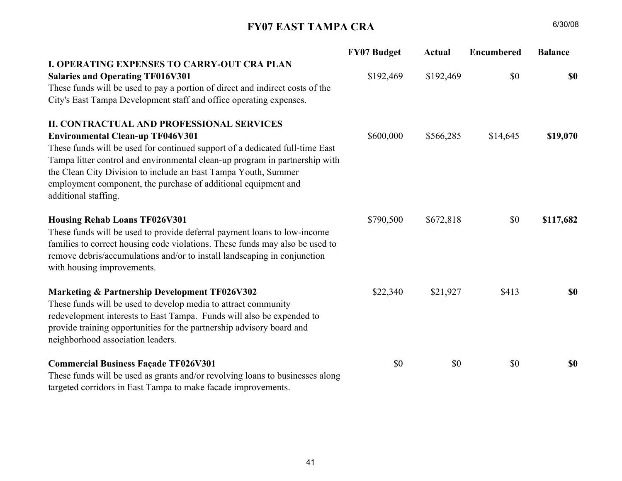## FY06 EAST TAMPA CRA

| <b>FY06 Budget</b> | Actual      | <b>Encumbered</b> | <b>Balance</b> |
|--------------------|-------------|-------------------|----------------|
|                    |             |                   |                |
| \$423,084          | \$423,084   |                   | <b>SO</b>      |
|                    |             |                   |                |
|                    |             |                   |                |
| \$875,000          | \$875,000   | \$0               | \$0            |
|                    |             |                   |                |
|                    |             |                   |                |
|                    |             |                   |                |
| \$226,605          | \$226,605   | \$0               | <b>SO</b>      |
|                    |             |                   |                |
|                    |             |                   |                |
| \$511,224          | \$456,750   | \$54,474          | <b>SO</b>      |
|                    |             |                   |                |
|                    |             |                   |                |
| \$2,720,280        | \$2,664,406 | \$55,874          | <b>SO</b>      |
|                    |             |                   |                |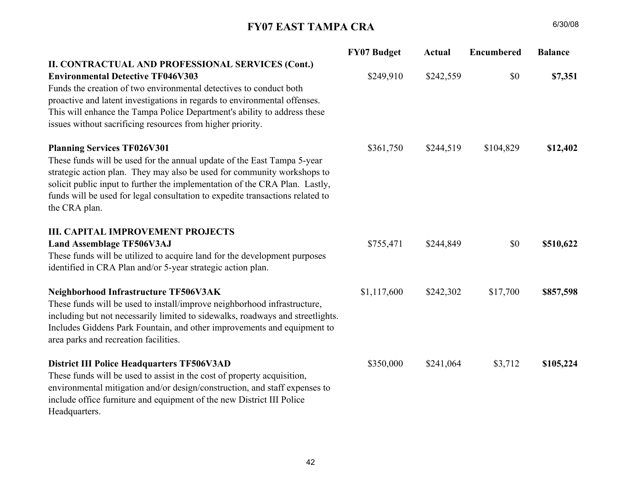## FY07 EAST TAMPA CRA

|                                                                               | <b>FY07 Budget</b> | <b>Actual</b> | <b>Encumbered</b> | <b>Balance</b> |
|-------------------------------------------------------------------------------|--------------------|---------------|-------------------|----------------|
| <b>I. OPERATING EXPENSES TO CARRY-OUT CRA PLAN</b>                            |                    |               |                   |                |
| <b>Salaries and Operating TF016V301</b>                                       | \$192,469          | \$192,469     | \$0               | \$0            |
| These funds will be used to pay a portion of direct and indirect costs of the |                    |               |                   |                |
| City's East Tampa Development staff and office operating expenses.            |                    |               |                   |                |
| <b>II. CONTRACTUAL AND PROFESSIONAL SERVICES</b>                              |                    |               |                   |                |
| <b>Environmental Clean-up TF046V301</b>                                       | \$600,000          | \$566,285     | \$14,645          | \$19,070       |
| These funds will be used for continued support of a dedicated full-time East  |                    |               |                   |                |
| Tampa litter control and environmental clean-up program in partnership with   |                    |               |                   |                |
| the Clean City Division to include an East Tampa Youth, Summer                |                    |               |                   |                |
| employment component, the purchase of additional equipment and                |                    |               |                   |                |
| additional staffing.                                                          |                    |               |                   |                |
| <b>Housing Rehab Loans TF026V301</b>                                          | \$790,500          | \$672,818     | \$0               | \$117,682      |
| These funds will be used to provide deferral payment loans to low-income      |                    |               |                   |                |
| families to correct housing code violations. These funds may also be used to  |                    |               |                   |                |
| remove debris/accumulations and/or to install landscaping in conjunction      |                    |               |                   |                |
| with housing improvements.                                                    |                    |               |                   |                |
| Marketing & Partnership Development TF026V302                                 | \$22,340           | \$21,927      | \$413             | \$0            |
| These funds will be used to develop media to attract community                |                    |               |                   |                |
| redevelopment interests to East Tampa. Funds will also be expended to         |                    |               |                   |                |
| provide training opportunities for the partnership advisory board and         |                    |               |                   |                |
| neighborhood association leaders.                                             |                    |               |                   |                |
| <b>Commercial Business Façade TF026V301</b>                                   | \$0                | \$0           | \$0               | \$0            |
| These funds will be used as grants and/or revolving loans to businesses along |                    |               |                   |                |
| targeted corridors in East Tampa to make facade improvements.                 |                    |               |                   |                |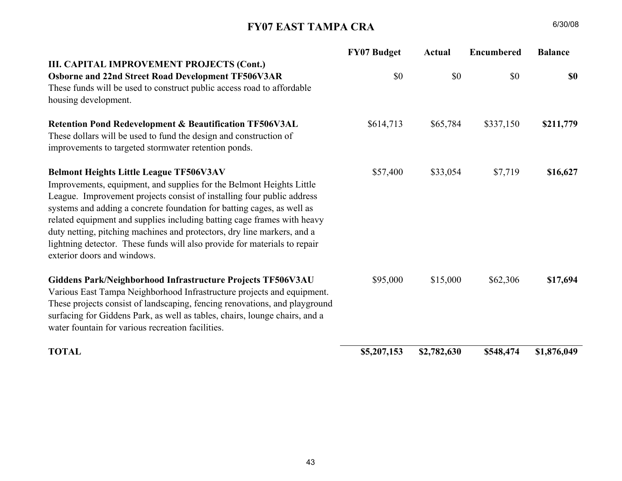## FY07 EAST TAMPA CRA

|                                                                                                                                                                                                                                                                                                                                                                           | <b>FY07 Budget</b> | <b>Actual</b> | Encumbered | <b>Balance</b> |
|---------------------------------------------------------------------------------------------------------------------------------------------------------------------------------------------------------------------------------------------------------------------------------------------------------------------------------------------------------------------------|--------------------|---------------|------------|----------------|
| II. CONTRACTUAL AND PROFESSIONAL SERVICES (Cont.)<br><b>Environmental Detective TF046V303</b>                                                                                                                                                                                                                                                                             | \$249,910          | \$242,559     | \$0        |                |
| Funds the creation of two environmental detectives to conduct both<br>proactive and latent investigations in regards to environmental offenses.<br>This will enhance the Tampa Police Department's ability to address these<br>issues without sacrificing resources from higher priority.                                                                                 |                    |               |            | \$7,351        |
| <b>Planning Services TF026V301</b><br>These funds will be used for the annual update of the East Tampa 5-year<br>strategic action plan. They may also be used for community workshops to<br>solicit public input to further the implementation of the CRA Plan. Lastly,<br>funds will be used for legal consultation to expedite transactions related to<br>the CRA plan. | \$361,750          | \$244,519     | \$104,829  | \$12,402       |
| <b>III. CAPITAL IMPROVEMENT PROJECTS</b><br><b>Land Assemblage TF506V3AJ</b><br>These funds will be utilized to acquire land for the development purposes<br>identified in CRA Plan and/or 5-year strategic action plan.                                                                                                                                                  | \$755,471          | \$244,849     | \$0        | \$510,622      |
| Neighborhood Infrastructure TF506V3AK<br>These funds will be used to install/improve neighborhood infrastructure,<br>including but not necessarily limited to sidewalks, roadways and streetlights.<br>Includes Giddens Park Fountain, and other improvements and equipment to<br>area parks and recreation facilities.                                                   | \$1,117,600        | \$242,302     | \$17,700   | \$857,598      |
| <b>District III Police Headquarters TF506V3AD</b><br>These funds will be used to assist in the cost of property acquisition,<br>environmental mitigation and/or design/construction, and staff expenses to<br>include office furniture and equipment of the new District III Police<br>Headquarters.                                                                      | \$350,000          | \$241,064     | \$3,712    | \$105,224      |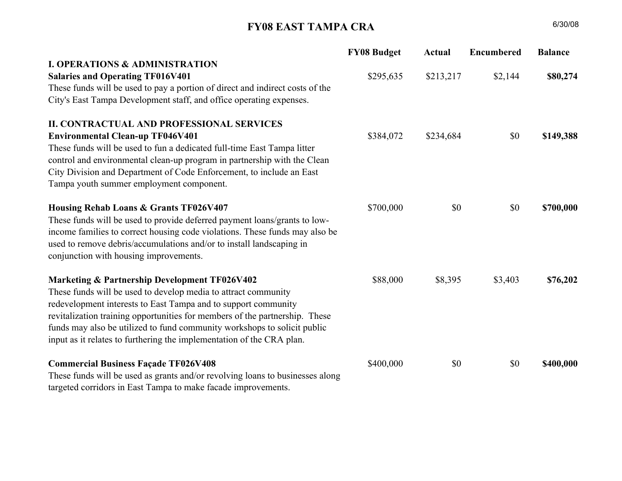## FY07 EAST TAMPA CRA

|                                                                                                                                                                                                                                                                                                                                                                                                                                                                                                                                              | <b>FY07 Budget</b> | <b>Actual</b> | <b>Encumbered</b> | <b>Balance</b> |
|----------------------------------------------------------------------------------------------------------------------------------------------------------------------------------------------------------------------------------------------------------------------------------------------------------------------------------------------------------------------------------------------------------------------------------------------------------------------------------------------------------------------------------------------|--------------------|---------------|-------------------|----------------|
| III. CAPITAL IMPROVEMENT PROJECTS (Cont.)<br>Osborne and 22nd Street Road Development TF506V3AR<br>These funds will be used to construct public access road to affordable<br>housing development.                                                                                                                                                                                                                                                                                                                                            | \$0                | \$0           | \$0               | <b>SO</b>      |
| <b>Retention Pond Redevelopment &amp; Beautification TF506V3AL</b><br>These dollars will be used to fund the design and construction of<br>improvements to targeted stormwater retention ponds.                                                                                                                                                                                                                                                                                                                                              | \$614,713          | \$65,784      | \$337,150         | \$211,779      |
| <b>Belmont Heights Little League TF506V3AV</b><br>Improvements, equipment, and supplies for the Belmont Heights Little<br>League. Improvement projects consist of installing four public address<br>systems and adding a concrete foundation for batting cages, as well as<br>related equipment and supplies including batting cage frames with heavy<br>duty netting, pitching machines and protectors, dry line markers, and a<br>lightning detector. These funds will also provide for materials to repair<br>exterior doors and windows. | \$57,400           | \$33,054      | \$7,719           | \$16,627       |
| Giddens Park/Neighborhood Infrastructure Projects TF506V3AU<br>Various East Tampa Neighborhood Infrastructure projects and equipment.<br>These projects consist of landscaping, fencing renovations, and playground<br>surfacing for Giddens Park, as well as tables, chairs, lounge chairs, and a<br>water fountain for various recreation facilities.                                                                                                                                                                                      | \$95,000           | \$15,000      | \$62,306          | \$17,694       |
| <b>TOTAL</b>                                                                                                                                                                                                                                                                                                                                                                                                                                                                                                                                 | \$5,207,153        | \$2,782,630   | \$548,474         | \$1,876,049    |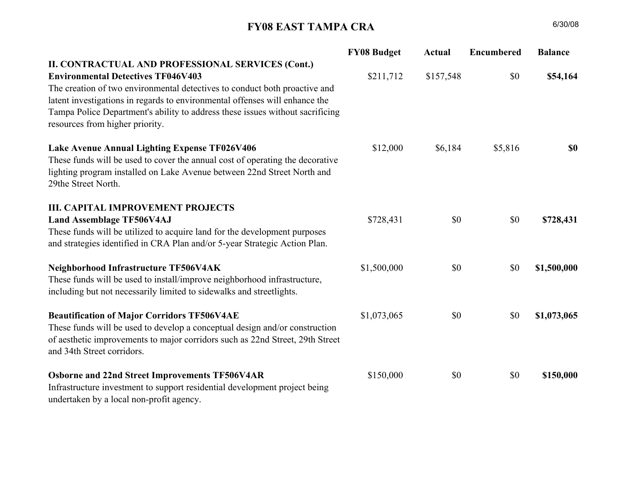## FY08 EAST TAMPA CRA

|                                                                               | <b>FY08 Budget</b> | Actual    | <b>Encumbered</b> | <b>Balance</b> |
|-------------------------------------------------------------------------------|--------------------|-----------|-------------------|----------------|
| <b>I. OPERATIONS &amp; ADMINISTRATION</b>                                     |                    |           |                   |                |
| <b>Salaries and Operating TF016V401</b>                                       | \$295,635          | \$213,217 | \$2,144           | \$80,274       |
| These funds will be used to pay a portion of direct and indirect costs of the |                    |           |                   |                |
| City's East Tampa Development staff, and office operating expenses.           |                    |           |                   |                |
| <b>II. CONTRACTUAL AND PROFESSIONAL SERVICES</b>                              |                    |           |                   |                |
| <b>Environmental Clean-up TF046V401</b>                                       | \$384,072          | \$234,684 | \$0               | \$149,388      |
| These funds will be used to fun a dedicated full-time East Tampa litter       |                    |           |                   |                |
| control and environmental clean-up program in partnership with the Clean      |                    |           |                   |                |
| City Division and Department of Code Enforcement, to include an East          |                    |           |                   |                |
| Tampa youth summer employment component.                                      |                    |           |                   |                |
| Housing Rehab Loans & Grants TF026V407                                        | \$700,000          | \$0       | \$0               | \$700,000      |
| These funds will be used to provide deferred payment loans/grants to low-     |                    |           |                   |                |
| income families to correct housing code violations. These funds may also be   |                    |           |                   |                |
| used to remove debris/accumulations and/or to install landscaping in          |                    |           |                   |                |
| conjunction with housing improvements.                                        |                    |           |                   |                |
| <b>Marketing &amp; Partnership Development TF026V402</b>                      | \$88,000           | \$8,395   | \$3,403           | \$76,202       |
| These funds will be used to develop media to attract community                |                    |           |                   |                |
| redevelopment interests to East Tampa and to support community                |                    |           |                   |                |
| revitalization training opportunities for members of the partnership. These   |                    |           |                   |                |
| funds may also be utilized to fund community workshops to solicit public      |                    |           |                   |                |
| input as it relates to furthering the implementation of the CRA plan.         |                    |           |                   |                |
| <b>Commercial Business Façade TF026V408</b>                                   | \$400,000          | \$0       | \$0               | \$400,000      |
| These funds will be used as grants and/or revolving loans to businesses along |                    |           |                   |                |
| targeted corridors in East Tampa to make facade improvements.                 |                    |           |                   |                |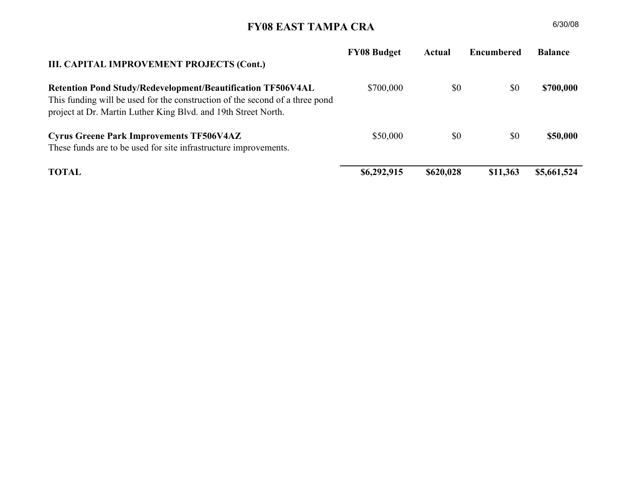## FY08 EAST TAMPA CRA

|                                                                                                                                                                                                                                                                                                                                                                                 | <b>FY08 Budget</b> | <b>Actual</b> | <b>Encumbered</b> | <b>Balance</b> |
|---------------------------------------------------------------------------------------------------------------------------------------------------------------------------------------------------------------------------------------------------------------------------------------------------------------------------------------------------------------------------------|--------------------|---------------|-------------------|----------------|
| II. CONTRACTUAL AND PROFESSIONAL SERVICES (Cont.)<br><b>Environmental Detectives TF046V403</b><br>The creation of two environmental detectives to conduct both proactive and<br>latent investigations in regards to environmental offenses will enhance the<br>Tampa Police Department's ability to address these issues without sacrificing<br>resources from higher priority. | \$211,712          | \$157,548     | \$0               | \$54,164       |
| Lake Avenue Annual Lighting Expense TF026V406<br>These funds will be used to cover the annual cost of operating the decorative<br>lighting program installed on Lake Avenue between 22nd Street North and<br>29the Street North.                                                                                                                                                | \$12,000           | \$6,184       | \$5,816           | \$0            |
| <b>III. CAPITAL IMPROVEMENT PROJECTS</b><br><b>Land Assemblage TF506V4AJ</b><br>These funds will be utilized to acquire land for the development purposes<br>and strategies identified in CRA Plan and/or 5-year Strategic Action Plan.                                                                                                                                         | \$728,431          | \$0           | \$0               | \$728,431      |
| Neighborhood Infrastructure TF506V4AK<br>These funds will be used to install/improve neighborhood infrastructure,<br>including but not necessarily limited to sidewalks and streetlights.                                                                                                                                                                                       | \$1,500,000        | \$0           | \$0               | \$1,500,000    |
| <b>Beautification of Major Corridors TF506V4AE</b><br>These funds will be used to develop a conceptual design and/or construction<br>of aesthetic improvements to major corridors such as 22nd Street, 29th Street<br>and 34th Street corridors.                                                                                                                                | \$1,073,065        | \$0           | \$0               | \$1,073,065    |
| <b>Osborne and 22nd Street Improvements TF506V4AR</b><br>Infrastructure investment to support residential development project being<br>undertaken by a local non-profit agency.                                                                                                                                                                                                 | \$150,000          | \$0           | \$0               | \$150,000      |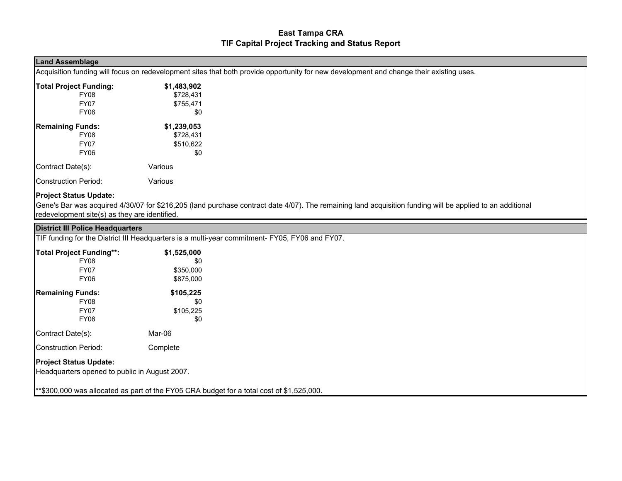## FY08 EAST TAMPA CRA

| III. CAPITAL IMPROVEMENT PROJECTS (Cont.)                                                                                                                                                                            | <b>FY08 Budget</b> | <b>Actual</b> | Encumbered | <b>Balance</b> |
|----------------------------------------------------------------------------------------------------------------------------------------------------------------------------------------------------------------------|--------------------|---------------|------------|----------------|
| <b>Retention Pond Study/Redevelopment/Beautification TF506V4AL</b><br>This funding will be used for the construction of the second of a three pond<br>project at Dr. Martin Luther King Blvd. and 19th Street North. | \$700,000          | \$0           | \$0        | \$700,000      |
| <b>Cyrus Greene Park Improvements TF506V4AZ</b><br>These funds are to be used for site infrastructure improvements.                                                                                                  | \$50,000           | \$0           | \$0        | \$50,000       |
| <b>TOTAL</b>                                                                                                                                                                                                         | \$6,292,915        | \$620,028     | \$11,363   | \$5,661,524    |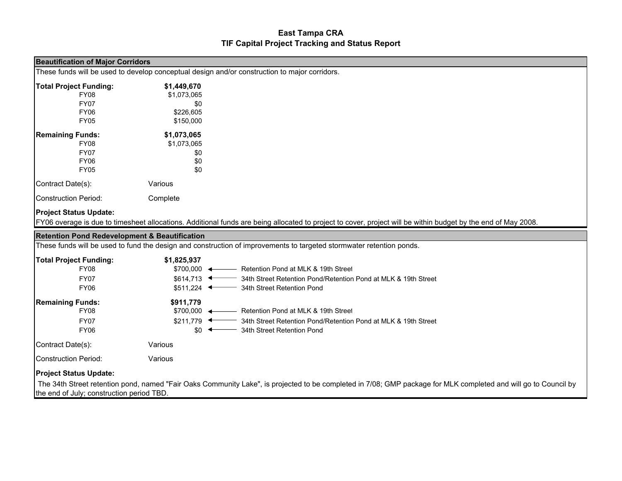| <b>Land Assemblage</b>                                                         |             |                                                                                                                                                           |
|--------------------------------------------------------------------------------|-------------|-----------------------------------------------------------------------------------------------------------------------------------------------------------|
|                                                                                |             | Acquisition funding will focus on redevelopment sites that both provide opportunity for new development and change their existing uses.                   |
| <b>Total Project Funding:</b>                                                  | \$1,483,902 |                                                                                                                                                           |
| FY08                                                                           | \$728,431   |                                                                                                                                                           |
| <b>FY07</b>                                                                    | \$755,471   |                                                                                                                                                           |
| <b>FY06</b>                                                                    | \$0         |                                                                                                                                                           |
| <b>Remaining Funds:</b>                                                        | \$1,239,053 |                                                                                                                                                           |
| FY08                                                                           | \$728,431   |                                                                                                                                                           |
| <b>FY07</b>                                                                    | \$510,622   |                                                                                                                                                           |
| FY06                                                                           | \$0         |                                                                                                                                                           |
| Contract Date(s):                                                              | Various     |                                                                                                                                                           |
| Construction Period:                                                           | Various     |                                                                                                                                                           |
| <b>Project Status Update:</b><br>redevelopment site(s) as they are identified. |             | Gene's Bar was acquired 4/30/07 for \$216,205 (land purchase contract date 4/07). The remaining land acquisition funding will be applied to an additional |
| <b>District III Police Headquarters</b>                                        |             |                                                                                                                                                           |
|                                                                                |             | TIF funding for the District III Headquarters is a multi-year commitment- FY05, FY06 and FY07.                                                            |
|                                                                                |             |                                                                                                                                                           |

| <b>Total Project Funding**:</b>                                                | \$1,525,000 |  |  |
|--------------------------------------------------------------------------------|-------------|--|--|
| <b>FY08</b>                                                                    | \$0         |  |  |
| <b>FY07</b>                                                                    | \$350,000   |  |  |
| <b>FY06</b>                                                                    | \$875,000   |  |  |
| <b>Remaining Funds:</b>                                                        | \$105,225   |  |  |
| <b>FY08</b>                                                                    | \$0         |  |  |
| <b>FY07</b>                                                                    | \$105,225   |  |  |
| <b>FY06</b>                                                                    | \$0         |  |  |
| Contract Date(s):                                                              | Mar-06      |  |  |
| <b>Construction Period:</b>                                                    | Complete    |  |  |
| <b>Project Status Update:</b><br>Headquarters opened to public in August 2007. |             |  |  |

\*\*\$300,000 was allocated as part of the FY05 CRA budget for a total cost of \$1,525,000.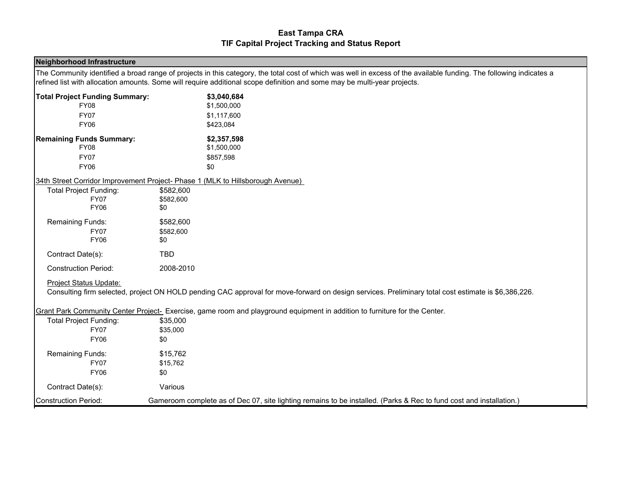| <b>Beautification of Major Corridors</b>                 |                             |                                                                                                                                                                 |
|----------------------------------------------------------|-----------------------------|-----------------------------------------------------------------------------------------------------------------------------------------------------------------|
|                                                          |                             | These funds will be used to develop conceptual design and/or construction to major corridors.                                                                   |
| <b>Total Project Funding:</b>                            | \$1,449,670                 |                                                                                                                                                                 |
| <b>FY08</b>                                              | \$1,073,065                 |                                                                                                                                                                 |
| <b>FY07</b>                                              | \$0                         |                                                                                                                                                                 |
| <b>FY06</b>                                              | \$226,605                   |                                                                                                                                                                 |
| <b>FY05</b>                                              | \$150,000                   |                                                                                                                                                                 |
| <b>Remaining Funds:</b>                                  | \$1,073,065                 |                                                                                                                                                                 |
| <b>FY08</b>                                              | \$1,073,065                 |                                                                                                                                                                 |
| <b>FY07</b>                                              | \$0                         |                                                                                                                                                                 |
| <b>FY06</b>                                              | \$0                         |                                                                                                                                                                 |
| <b>FY05</b>                                              | \$0                         |                                                                                                                                                                 |
| Contract Date(s):                                        | Various                     |                                                                                                                                                                 |
| Construction Period:                                     | Complete                    |                                                                                                                                                                 |
| <b>Project Status Update:</b>                            |                             |                                                                                                                                                                 |
|                                                          |                             | FY06 overage is due to timesheet allocations. Additional funds are being allocated to project to cover, project will be within budget by the end of May 2008.   |
| <b>Retention Pond Redevelopment &amp; Beautification</b> |                             |                                                                                                                                                                 |
|                                                          |                             | These funds will be used to fund the design and construction of improvements to targeted stormwater retention ponds.                                            |
|                                                          |                             |                                                                                                                                                                 |
|                                                          |                             |                                                                                                                                                                 |
| <b>Total Project Funding:</b><br><b>FY08</b>             | \$1,825,937                 | \$700,000 < Retention Pond at MLK & 19th Street                                                                                                                 |
|                                                          |                             |                                                                                                                                                                 |
| <b>FY07</b>                                              | $$614.713$ $\longleftarrow$ | 34th Street Retention Pond/Retention Pond at MLK & 19th Street                                                                                                  |
| <b>FY06</b>                                              | $$511,224$ $\longleftarrow$ | 34th Street Retention Pond                                                                                                                                      |
| <b>Remaining Funds:</b>                                  | \$911,779                   |                                                                                                                                                                 |
| <b>FY08</b>                                              | $$700.000 \leftarrow$       | - Retention Pond at MLK & 19th Street                                                                                                                           |
| <b>FY07</b>                                              | $$211,779$ $\leftarrow$     | 34th Street Retention Pond/Retention Pond at MLK & 19th Street                                                                                                  |
| <b>FY06</b>                                              | $$0^{\circ}$                | 34th Street Retention Pond                                                                                                                                      |
| Contract Date(s):                                        | Various                     |                                                                                                                                                                 |
| Construction Period:                                     | Various                     |                                                                                                                                                                 |
| <b>Project Status Update:</b>                            |                             |                                                                                                                                                                 |
|                                                          |                             | The 34th Street retention pond, named "Fair Oaks Community Lake", is projected to be completed in 7/08; GMP package for MLK completed and will go to Council by |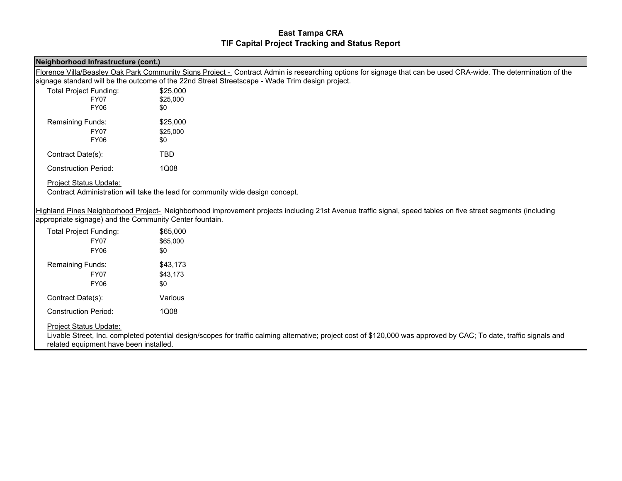| <b>Neighborhood Infrastructure</b>    |                                                                                                                                                                     |  |
|---------------------------------------|---------------------------------------------------------------------------------------------------------------------------------------------------------------------|--|
|                                       | The Community identified a broad range of projects in this category, the total cost of which was well in excess of the available funding. The following indicates a |  |
|                                       | refined list with allocation amounts. Some will require additional scope definition and some may be multi-year projects.                                            |  |
| <b>Total Project Funding Summary:</b> | \$3,040,684                                                                                                                                                         |  |
| <b>FY08</b>                           | \$1,500,000                                                                                                                                                         |  |
| <b>FY07</b>                           | \$1,117,600                                                                                                                                                         |  |
| <b>FY06</b>                           | \$423,084                                                                                                                                                           |  |
| <b>Remaining Funds Summary:</b>       | \$2,357,598                                                                                                                                                         |  |
| <b>FY08</b>                           | \$1,500,000                                                                                                                                                         |  |
| <b>FY07</b>                           | \$857,598                                                                                                                                                           |  |
| <b>FY06</b>                           | \$0                                                                                                                                                                 |  |
|                                       | 34th Street Corridor Improvement Project- Phase 1 (MLK to Hillsborough Avenue)                                                                                      |  |
| <b>Total Project Funding:</b>         | \$582,600                                                                                                                                                           |  |
| <b>FY07</b>                           | \$582,600                                                                                                                                                           |  |
| <b>FY06</b>                           | \$0                                                                                                                                                                 |  |
| Remaining Funds:                      | \$582,600                                                                                                                                                           |  |
| <b>FY07</b>                           | \$582,600                                                                                                                                                           |  |
| <b>FY06</b>                           | \$0                                                                                                                                                                 |  |
| Contract Date(s):                     | <b>TBD</b>                                                                                                                                                          |  |
| <b>Construction Period:</b>           | 2008-2010                                                                                                                                                           |  |
| Project Status Update:                |                                                                                                                                                                     |  |
|                                       | Consulting firm selected, project ON HOLD pending CAC approval for move-forward on design services. Preliminary total cost estimate is \$6,386,226.                 |  |
|                                       | Grant Park Community Center Project- Exercise, game room and playground equipment in addition to furniture for the Center.                                          |  |
| <b>Total Project Funding:</b>         | \$35,000                                                                                                                                                            |  |
| <b>FY07</b>                           | \$35,000                                                                                                                                                            |  |
| <b>FY06</b>                           | \$0                                                                                                                                                                 |  |
| Remaining Funds:                      | \$15,762                                                                                                                                                            |  |
| <b>FY07</b>                           | \$15,762                                                                                                                                                            |  |
| <b>FY06</b>                           | \$0                                                                                                                                                                 |  |
| Contract Date(s):                     | Various                                                                                                                                                             |  |
| Construction Period:                  | Gameroom complete as of Dec 07, site lighting remains to be installed. (Parks & Rec to fund cost and installation.)                                                 |  |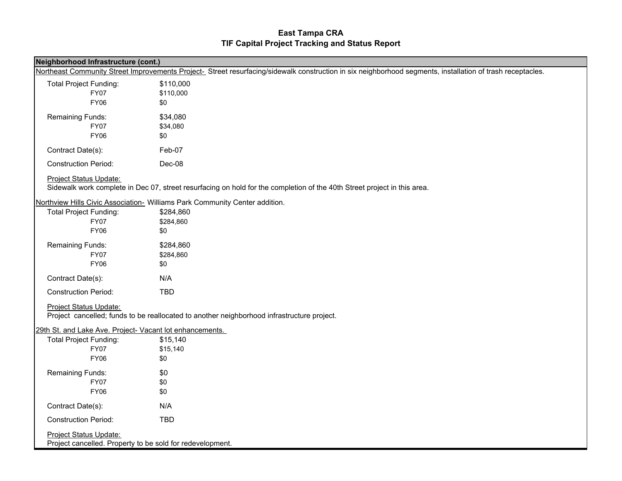| Neighborhood Infrastructure (cont.)                     |                                                                                                                                                                 |
|---------------------------------------------------------|-----------------------------------------------------------------------------------------------------------------------------------------------------------------|
|                                                         | Florence Villa/Beasley Oak Park Community Signs Project - Contract Admin is researching options for signage that can be used CRA-wide. The determination of the |
|                                                         | signage standard will be the outcome of the 22nd Street Streetscape - Wade Trim design project.                                                                 |
| <b>Total Project Funding:</b>                           | \$25,000                                                                                                                                                        |
| <b>FY07</b>                                             | \$25,000                                                                                                                                                        |
| <b>FY06</b>                                             | \$0                                                                                                                                                             |
| Remaining Funds:                                        | \$25,000                                                                                                                                                        |
| <b>FY07</b>                                             | \$25,000                                                                                                                                                        |
| <b>FY06</b>                                             | \$0                                                                                                                                                             |
| Contract Date(s):                                       | <b>TBD</b>                                                                                                                                                      |
| <b>Construction Period:</b>                             | 1Q08                                                                                                                                                            |
| <b>Project Status Update:</b>                           | Contract Administration will take the lead for community wide design concept.                                                                                   |
| appropriate signage) and the Community Center fountain. | Highland Pines Neighborhood Project- Neighborhood improvement projects including 21st Avenue traffic signal, speed tables on five street segments (including    |
| <b>Total Project Funding:</b>                           | \$65,000                                                                                                                                                        |
| <b>FY07</b>                                             | \$65,000                                                                                                                                                        |
| <b>FY06</b>                                             | \$0                                                                                                                                                             |
| Remaining Funds:                                        | \$43,173                                                                                                                                                        |
| <b>FY07</b>                                             | \$43,173                                                                                                                                                        |
| <b>FY06</b>                                             | \$0                                                                                                                                                             |
| Contract Date(s):                                       | Various                                                                                                                                                         |

Construction Period:1Q08

Project Status Update:

Livable Street, Inc. completed potential design/scopes for traffic calming alternative; project cost of \$120,000 was approved by CAC; To date, traffic signals and related equipment have been installed.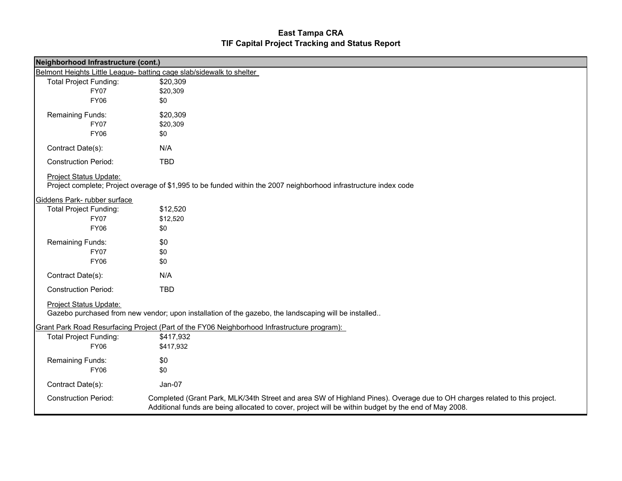| Neighborhood Infrastructure (cont.)                                                                                     |                                                                                                                                                            |
|-------------------------------------------------------------------------------------------------------------------------|------------------------------------------------------------------------------------------------------------------------------------------------------------|
|                                                                                                                         | Northeast Community Street Improvements Project- Street resurfacing/sidewalk construction in six neighborhood segments, installation of trash receptacles. |
| <b>Total Project Funding:</b><br><b>FY07</b><br><b>FY06</b>                                                             | \$110,000<br>\$110,000<br>\$0                                                                                                                              |
| Remaining Funds:<br><b>FY07</b><br><b>FY06</b>                                                                          | \$34,080<br>\$34,080<br>\$0                                                                                                                                |
| Contract Date(s):                                                                                                       | Feb-07                                                                                                                                                     |
| <b>Construction Period:</b>                                                                                             | Dec-08                                                                                                                                                     |
| <b>Project Status Update:</b>                                                                                           | Sidewalk work complete in Dec 07, street resurfacing on hold for the completion of the 40th Street project in this area.                                   |
| <b>Total Project Funding:</b><br><b>FY07</b><br><b>FY06</b>                                                             | Northview Hills Civic Association- Williams Park Community Center addition.<br>\$284,860<br>\$284,860<br>\$0                                               |
| Remaining Funds:<br><b>FY07</b><br><b>FY06</b>                                                                          | \$284,860<br>\$284,860<br>\$0                                                                                                                              |
| Contract Date(s):                                                                                                       | N/A                                                                                                                                                        |
| <b>Construction Period:</b>                                                                                             | <b>TBD</b>                                                                                                                                                 |
| <b>Project Status Update:</b>                                                                                           | Project cancelled; funds to be reallocated to another neighborhood infrastructure project.                                                                 |
| 29th St. and Lake Ave. Project- Vacant lot enhancements.<br><b>Total Project Funding:</b><br><b>FY07</b><br><b>FY06</b> | \$15,140<br>\$15,140<br>\$0                                                                                                                                |
| Remaining Funds:<br><b>FY07</b><br><b>FY06</b>                                                                          | \$0<br>\$0<br>\$0                                                                                                                                          |
| Contract Date(s):                                                                                                       | N/A                                                                                                                                                        |
| <b>Construction Period:</b>                                                                                             | <b>TBD</b>                                                                                                                                                 |
| Project Status Update:<br>Project cancelled. Property to be sold for redevelopment.                                     |                                                                                                                                                            |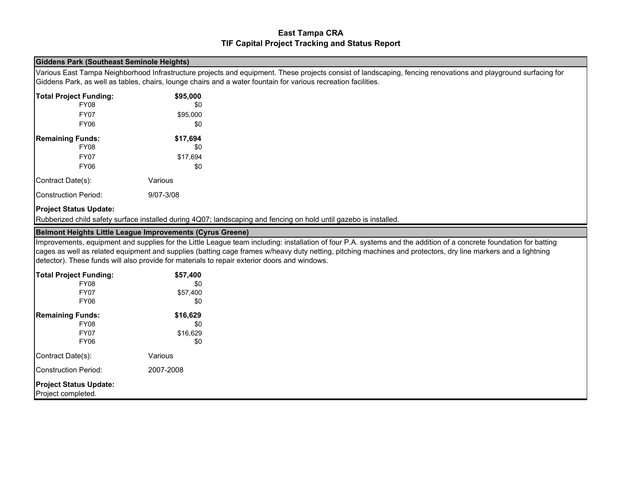| Neighborhood Infrastructure (cont.) |                                                                                                                                                                                                                                   |
|-------------------------------------|-----------------------------------------------------------------------------------------------------------------------------------------------------------------------------------------------------------------------------------|
|                                     | Belmont Heights Little League- batting cage slab/sidewalk to shelter                                                                                                                                                              |
| <b>Total Project Funding:</b>       | \$20,309                                                                                                                                                                                                                          |
| <b>FY07</b>                         | \$20,309                                                                                                                                                                                                                          |
| <b>FY06</b>                         | \$0                                                                                                                                                                                                                               |
| Remaining Funds:                    | \$20,309                                                                                                                                                                                                                          |
| <b>FY07</b>                         | \$20,309                                                                                                                                                                                                                          |
| <b>FY06</b>                         | \$0                                                                                                                                                                                                                               |
| Contract Date(s):                   | N/A                                                                                                                                                                                                                               |
| <b>Construction Period:</b>         | <b>TBD</b>                                                                                                                                                                                                                        |
| <b>Project Status Update:</b>       |                                                                                                                                                                                                                                   |
|                                     | Project complete; Project overage of \$1,995 to be funded within the 2007 neighborhood infrastructure index code                                                                                                                  |
| Giddens Park-rubber surface         |                                                                                                                                                                                                                                   |
| <b>Total Project Funding:</b>       | \$12,520                                                                                                                                                                                                                          |
| <b>FY07</b>                         | \$12,520                                                                                                                                                                                                                          |
| <b>FY06</b>                         | \$0                                                                                                                                                                                                                               |
| Remaining Funds:                    | \$0                                                                                                                                                                                                                               |
| <b>FY07</b>                         | \$0                                                                                                                                                                                                                               |
| <b>FY06</b>                         | \$0                                                                                                                                                                                                                               |
| Contract Date(s):                   | N/A                                                                                                                                                                                                                               |
| <b>Construction Period:</b>         | <b>TBD</b>                                                                                                                                                                                                                        |
| Project Status Update:              | Gazebo purchased from new vendor; upon installation of the gazebo, the landscaping will be installed                                                                                                                              |
|                                     | <b>Grant Park Road Resurfacing Project (Part of the FY06 Neighborhood Infrastructure program):</b>                                                                                                                                |
| <b>Total Project Funding:</b>       | \$417,932                                                                                                                                                                                                                         |
| <b>FY06</b>                         | \$417,932                                                                                                                                                                                                                         |
|                                     |                                                                                                                                                                                                                                   |
| Remaining Funds:                    | \$0                                                                                                                                                                                                                               |
| <b>FY06</b>                         | \$0                                                                                                                                                                                                                               |
| Contract Date(s):                   | Jan-07                                                                                                                                                                                                                            |
| <b>Construction Period:</b>         | Completed (Grant Park, MLK/34th Street and area SW of Highland Pines). Overage due to OH charges related to this project.<br>Additional funds are being allocated to cover, project will be within budget by the end of May 2008. |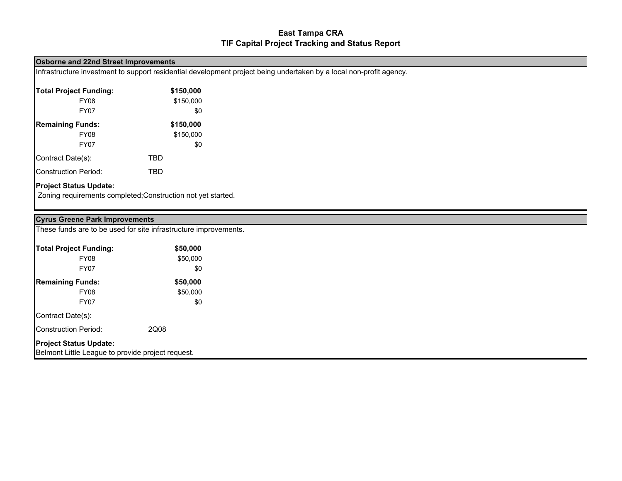#### Giddens Park (Southeast Seminole Heights)

Various East Tampa Neighborhood Infrastructure projects and equipment. These projects consist of landscaping, fencing renovations and playground surfacing for Giddens Park, as well as tables, chairs, lounge chairs and a water fountain for various recreation facilities.

| <b>Total Project Funding:</b> | \$95,000  |
|-------------------------------|-----------|
| <b>FY08</b>                   | \$0       |
| FY07                          | \$95,000  |
| FY06                          | \$0       |
| <b>Remaining Funds:</b>       | \$17,694  |
| <b>FY08</b>                   | \$0       |
| FY07                          | \$17,694  |
| <b>FY06</b>                   | \$0       |
| Contract Date(s):             | Various   |
| <b>Construction Period:</b>   | 9/07-3/08 |

#### Project Status Update:

Rubberized child safety surface installed during 4Q07; landscaping and fencing on hold until gazebo is installed.

#### Belmont Heights Little League Improvements (Cyrus Greene)

Improvements, equipment and supplies for the Little League team including: installation of four P.A. systems and the addition of a concrete foundation for batting cages as well as related equipment and supplies (batting cage frames w/heavy duty netting, pitching machines and protectors, dry line markers and a lightning detector). These funds will also provide for materials to repair exterior doors and windows.

| <b>Total Project Funding:</b>                       | \$57,400  |
|-----------------------------------------------------|-----------|
| <b>FY08</b>                                         | \$0       |
| <b>FY07</b>                                         | \$57,400  |
| <b>FY06</b>                                         | \$0       |
| <b>Remaining Funds:</b>                             | \$16,629  |
| <b>FY08</b>                                         | \$0       |
| <b>FY07</b>                                         | \$16,629  |
| <b>FY06</b>                                         | \$0       |
| Contract Date(s):                                   | Various   |
| <b>Construction Period:</b>                         | 2007-2008 |
| <b>Project Status Update:</b><br>Project completed. |           |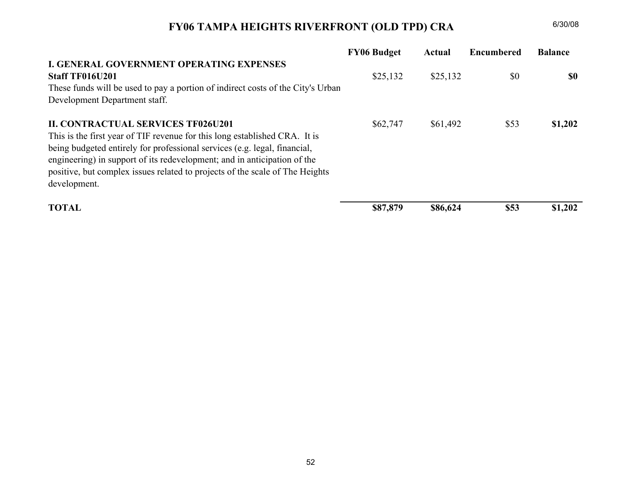#### Osborne and 22nd Street Improvements

Infrastructure investment to support residential development project being undertaken by a local non-profit agency.

| <b>Total Project Funding:</b> | \$150,000 |
|-------------------------------|-----------|
| <b>FY08</b>                   | \$150,000 |
| FY07                          | \$0       |
| <b>Remaining Funds:</b>       | \$150,000 |
| <b>FY08</b>                   | \$150,000 |
| FY07                          | \$0       |
| Contract Date(s):             | TBD       |
| <b>Construction Period:</b>   | TBD       |

#### Project Status Update:

Zoning requirements completed;Construction not yet started.

| <b>Cyrus Greene Park Improvements</b>                                              |          |
|------------------------------------------------------------------------------------|----------|
| These funds are to be used for site infrastructure improvements.                   |          |
| <b>Total Project Funding:</b>                                                      | \$50,000 |
| FY08                                                                               | \$50,000 |
| <b>FY07</b>                                                                        | \$0      |
| <b>Remaining Funds:</b>                                                            | \$50,000 |
| FY08                                                                               | \$50,000 |
| <b>FY07</b>                                                                        | \$0      |
| Contract Date(s):                                                                  |          |
| Construction Period:                                                               | 2Q08     |
| <b>Project Status Update:</b><br>Belmont Little League to provide project request. |          |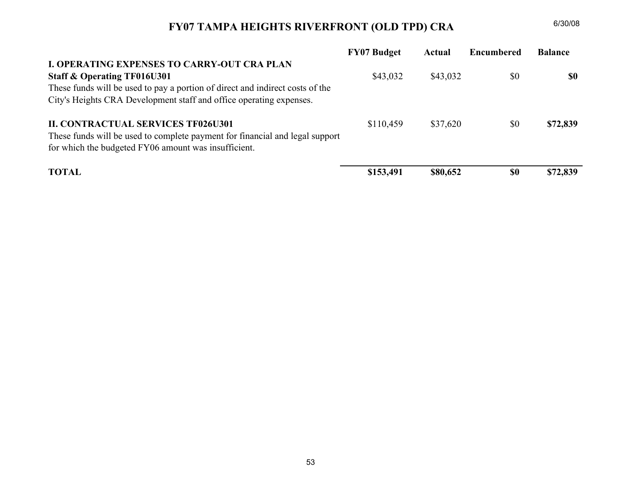## FY06 TAMPA HEIGHTS RIVERFRONT (OLD TPD) CRA

|                                                                                 | <b>FY06 Budget</b> | Actual   | <b>Encumbered</b> | <b>Balance</b> |
|---------------------------------------------------------------------------------|--------------------|----------|-------------------|----------------|
| <b>I. GENERAL GOVERNMENT OPERATING EXPENSES</b>                                 |                    |          |                   |                |
| Staff TF016U201                                                                 | \$25,132           | \$25,132 | \$0               | \$0            |
| These funds will be used to pay a portion of indirect costs of the City's Urban |                    |          |                   |                |
| Development Department staff.                                                   |                    |          |                   |                |
| <b>II. CONTRACTUAL SERVICES TF026U201</b>                                       | \$62,747           | \$61,492 | \$53              | \$1,202        |
| This is the first year of TIF revenue for this long established CRA. It is      |                    |          |                   |                |
| being budgeted entirely for professional services (e.g. legal, financial,       |                    |          |                   |                |
| engineering) in support of its redevelopment; and in anticipation of the        |                    |          |                   |                |
| positive, but complex issues related to projects of the scale of The Heights    |                    |          |                   |                |
| development.                                                                    |                    |          |                   |                |
| <b>TOTAL</b>                                                                    | \$87,879           | \$86,624 | <b>\$53</b>       | \$1,202        |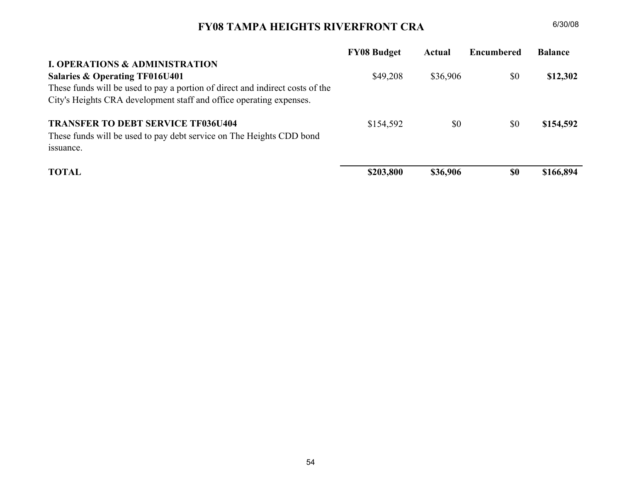#### FY07 TAMPA HEIGHTS RIVERFRONT (OLD TPD) CRA $A = 6/30/08$

| <b>FY07 Budget</b> | Actual   | <b>Encumbered</b> | <b>Balance</b> |
|--------------------|----------|-------------------|----------------|
|                    |          |                   |                |
| \$43,032           | \$43,032 | \$0               | \$0            |
|                    |          |                   |                |
|                    |          |                   |                |
| \$110,459          | \$37,620 | \$0               | \$72,839       |
|                    |          |                   |                |
|                    |          |                   |                |
| \$153,491          | \$80,652 | <b>\$0</b>        | \$72,839       |
|                    |          |                   |                |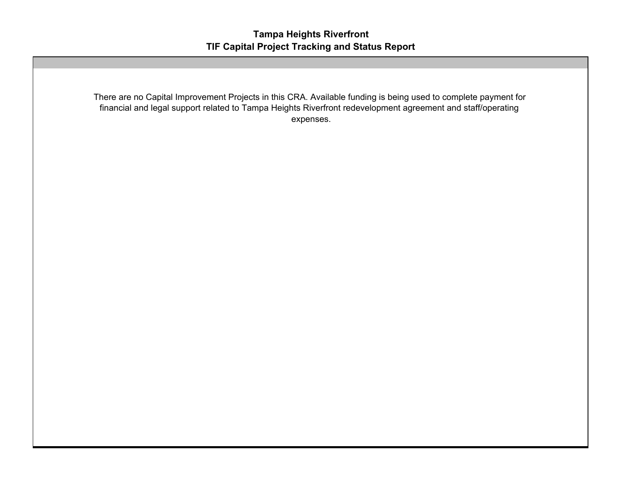## FY08 TAMPA HEIGHTS RIVERFRONT CRA

|                                                                               | <b>FY08 Budget</b> | Actual   | <b>Encumbered</b> | <b>Balance</b> |
|-------------------------------------------------------------------------------|--------------------|----------|-------------------|----------------|
| <b>I. OPERATIONS &amp; ADMINISTRATION</b>                                     |                    |          |                   |                |
| Salaries & Operating TF016U401                                                | \$49,208           | \$36,906 | \$0               | \$12,302       |
| These funds will be used to pay a portion of direct and indirect costs of the |                    |          |                   |                |
| City's Heights CRA development staff and office operating expenses.           |                    |          |                   |                |
| <b>TRANSFER TO DEBT SERVICE TF036U404</b>                                     | \$154,592          | \$0      | \$0               | \$154,592      |
| These funds will be used to pay debt service on The Heights CDD bond          |                    |          |                   |                |
| issuance.                                                                     |                    |          |                   |                |
| <b>TOTAL</b>                                                                  | \$203,800          | \$36,906 | <b>SO</b>         | \$166,894      |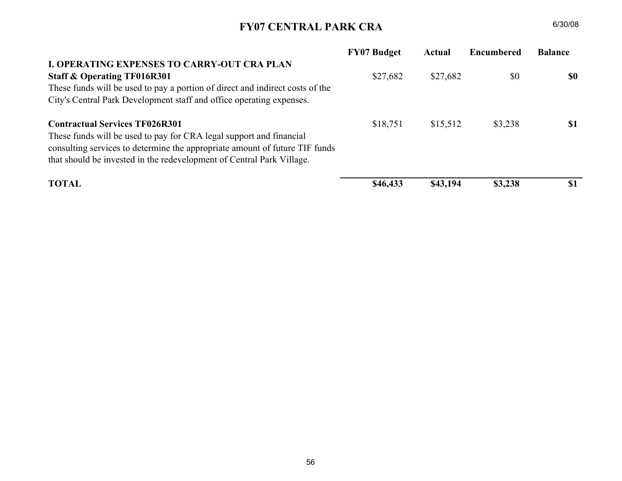There are no Capital Improvement Projects in this CRA. Available funding is being used to complete payment for financial and legal support related to Tampa Heights Riverfront redevelopment agreement and staff/operating expenses.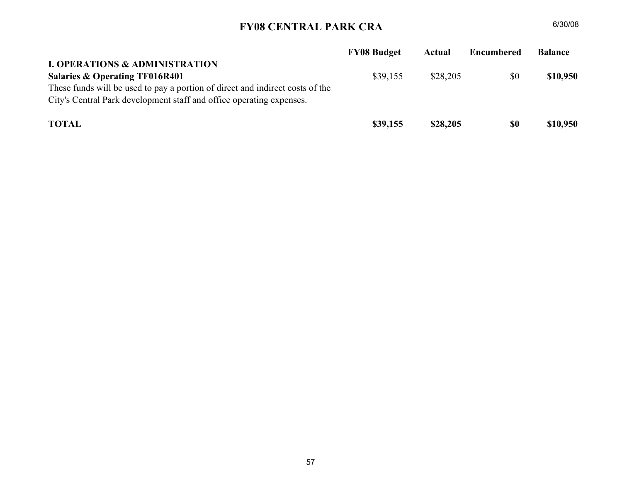## FY07 CENTRAL PARK CRA

|                                                                                                                                                                                                                                                                      | <b>FY07 Budget</b> | Actual   | Encumbered | <b>Balance</b> |
|----------------------------------------------------------------------------------------------------------------------------------------------------------------------------------------------------------------------------------------------------------------------|--------------------|----------|------------|----------------|
| <b>I. OPERATING EXPENSES TO CARRY-OUT CRA PLAN</b><br><b>Staff &amp; Operating TF016R301</b><br>These funds will be used to pay a portion of direct and indirect costs of the<br>City's Central Park Development staff and office operating expenses.                | \$27,682           | \$27,682 | \$0        | \$0            |
| <b>Contractual Services TF026R301</b><br>These funds will be used to pay for CRA legal support and financial<br>consulting services to determine the appropriate amount of future TIF funds<br>that should be invested in the redevelopment of Central Park Village. | \$18,751           | \$15,512 | \$3,238    | \$1            |
| <b>TOTAL</b>                                                                                                                                                                                                                                                         | \$46,433           | \$43,194 | \$3,238    | \$1            |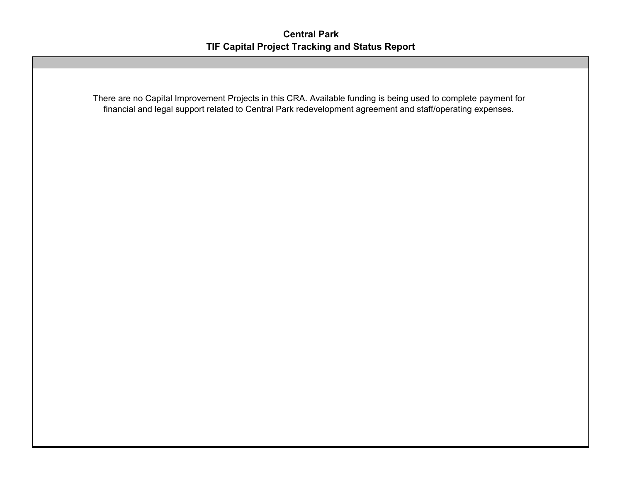## FY08 CENTRAL PARK CRA

|                                                                                                                                                                                         | <b>FY08 Budget</b> | Actual   | <b>Encumbered</b> | <b>Balance</b> |
|-----------------------------------------------------------------------------------------------------------------------------------------------------------------------------------------|--------------------|----------|-------------------|----------------|
| <b>I. OPERATIONS &amp; ADMINISTRATION</b>                                                                                                                                               |                    |          |                   |                |
| Salaries & Operating TF016R401<br>These funds will be used to pay a portion of direct and indirect costs of the<br>City's Central Park development staff and office operating expenses. | \$39,155           | \$28,205 | \$0               | \$10,950       |
| <b>TOTAL</b>                                                                                                                                                                            | \$39,155           | \$28,205 | \$0               | \$10,950       |